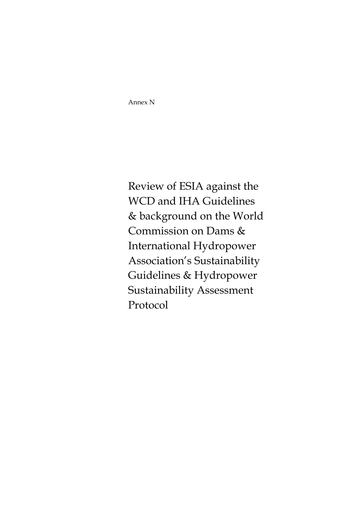Annex N

Review of ESIA against the WCD and IHA Guidelines & background on the World Commission on Dams & International Hydropower Association's Sustainability Guidelines & Hydropower Sustainability Assessment Protocol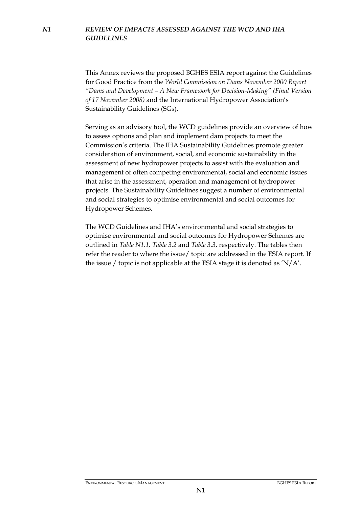This Annex reviews the proposed BGHES ESIA report against the Guidelines for Good Practice from the *World Commission on Dams November 2000 Report "Dams and Development – A New Framework for Decision-Making" (Final Version of 17 November 2008)* and the International Hydropower Association's Sustainability Guidelines (SGs).

Serving as an advisory tool, the WCD guidelines provide an overview of how to assess options and plan and implement dam projects to meet the Commission's criteria. The IHA Sustainability Guidelines promote greater consideration of environment, social, and economic sustainability in the assessment of new hydropower projects to assist with the evaluation and management of often competing environmental, social and economic issues that arise in the assessment, operation and management of hydropower projects. The Sustainability Guidelines suggest a number of environmental and social strategies to optimise environmental and social outcomes for Hydropower Schemes.

The WCD Guidelines and IHA's environmental and social strategies to optimise environmental and social outcomes for Hydropower Schemes are outlined in *Table N1.1, Table 3.2* and *Table 3.3*, respectively. The tables then refer the reader to where the issue/ topic are addressed in the ESIA report. If the issue / topic is not applicable at the ESIA stage it is denoted as 'N/A'.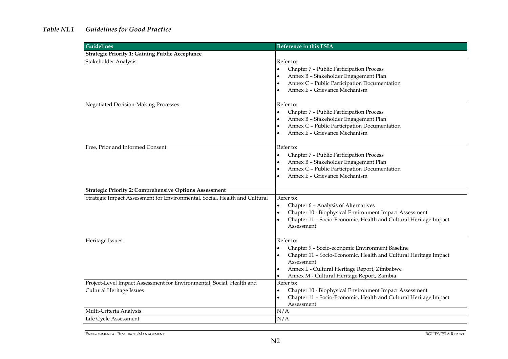# *Table N1.1 Guidelines for Good Practice*

| Guidelines                                                                                               | <b>Reference in this ESIA</b>                                                                                                                                                                                                                             |
|----------------------------------------------------------------------------------------------------------|-----------------------------------------------------------------------------------------------------------------------------------------------------------------------------------------------------------------------------------------------------------|
| <b>Strategic Priority 1: Gaining Public Acceptance</b>                                                   |                                                                                                                                                                                                                                                           |
| Stakeholder Analysis                                                                                     | Refer to:<br>Chapter 7 - Public Participation Process<br>$\bullet$<br>Annex B - Stakeholder Engagement Plan<br>Annex C - Public Participation Documentation<br>Annex E - Grievance Mechanism                                                              |
| Negotiated Decision-Making Processes                                                                     | Refer to:<br>Chapter 7 - Public Participation Process<br>Annex B - Stakeholder Engagement Plan<br>Annex C - Public Participation Documentation<br>Annex E - Grievance Mechanism                                                                           |
| Free, Prior and Informed Consent                                                                         | Refer to:<br>Chapter 7 - Public Participation Process<br>Annex B - Stakeholder Engagement Plan<br>Annex C - Public Participation Documentation<br>Annex E - Grievance Mechanism                                                                           |
| <b>Strategic Priority 2: Comprehensive Options Assessment</b>                                            |                                                                                                                                                                                                                                                           |
| Strategic Impact Assessment for Environmental, Social, Health and Cultural                               | Refer to:<br>Chapter 6 - Analysis of Alternatives<br>$\bullet$<br>Chapter 10 - Biophysical Environment Impact Assessment<br>$\bullet$<br>Chapter 11 - Socio-Economic, Health and Cultural Heritage Impact<br>Assessment                                   |
| Heritage Issues                                                                                          | Refer to:<br>Chapter 9 - Socio-economic Environment Baseline<br>Chapter 11 - Socio-Economic, Health and Cultural Heritage Impact<br>Assessment<br>Annex L - Cultural Heritage Report, Zimbabwe<br>$\bullet$<br>Annex M - Cultural Heritage Report, Zambia |
| Project-Level Impact Assessment for Environmental, Social, Health and<br><b>Cultural Heritage Issues</b> | Refer to:<br>Chapter 10 - Biophysical Environment Impact Assessment<br>$\bullet$<br>Chapter 11 - Socio-Economic, Health and Cultural Heritage Impact<br>Assessment                                                                                        |
| Multi-Criteria Analysis                                                                                  | N/A                                                                                                                                                                                                                                                       |
| Life Cycle Assessment                                                                                    | N/A                                                                                                                                                                                                                                                       |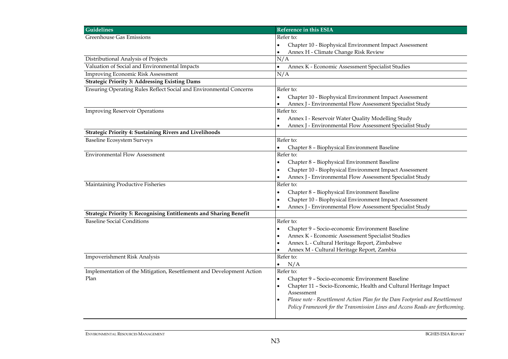| Guidelines                                                                | <b>Reference in this ESIA</b>                                                 |
|---------------------------------------------------------------------------|-------------------------------------------------------------------------------|
| <b>Greenhouse Gas Emissions</b>                                           | Refer to:                                                                     |
|                                                                           | Chapter 10 - Biophysical Environment Impact Assessment<br>$\bullet$           |
|                                                                           | Annex H - Climate Change Risk Review                                          |
| Distributional Analysis of Projects                                       | N/A                                                                           |
| Valuation of Social and Environmental Impacts                             | Annex K - Economic Assessment Specialist Studies<br>$\bullet$                 |
| <b>Improving Economic Risk Assessment</b>                                 | N/A                                                                           |
| <b>Strategic Priority 3: Addressing Existing Dams</b>                     |                                                                               |
| Ensuring Operating Rules Reflect Social and Environmental Concerns        | Refer to:                                                                     |
|                                                                           | Chapter 10 - Biophysical Environment Impact Assessment<br>$\bullet$           |
|                                                                           | Annex J - Environmental Flow Assessment Specialist Study                      |
| <b>Improving Reservoir Operations</b>                                     | Refer to:                                                                     |
|                                                                           | Annex I - Reservoir Water Quality Modelling Study                             |
|                                                                           | Annex J - Environmental Flow Assessment Specialist Study                      |
| <b>Strategic Priority 4: Sustaining Rivers and Livelihoods</b>            |                                                                               |
| <b>Baseline Ecosystem Surveys</b>                                         | Refer to:                                                                     |
|                                                                           | Chapter 8 - Biophysical Environment Baseline<br>$\bullet$                     |
| <b>Environmental Flow Assessment</b>                                      | Refer to:                                                                     |
|                                                                           | Chapter 8 - Biophysical Environment Baseline                                  |
|                                                                           | Chapter 10 - Biophysical Environment Impact Assessment                        |
|                                                                           | Annex J - Environmental Flow Assessment Specialist Study                      |
| Maintaining Productive Fisheries                                          | Refer to:                                                                     |
|                                                                           | Chapter 8 - Biophysical Environment Baseline<br>٠                             |
|                                                                           | Chapter 10 - Biophysical Environment Impact Assessment                        |
|                                                                           | Annex J - Environmental Flow Assessment Specialist Study                      |
| <b>Strategic Priority 5: Recognising Entitlements and Sharing Benefit</b> |                                                                               |
| <b>Baseline Social Conditions</b>                                         | Refer to:                                                                     |
|                                                                           | Chapter 9 - Socio-economic Environment Baseline                               |
|                                                                           | Annex K - Economic Assessment Specialist Studies                              |
|                                                                           | Annex L - Cultural Heritage Report, Zimbabwe                                  |
|                                                                           | Annex M - Cultural Heritage Report, Zambia                                    |
| Impoverishment Risk Analysis                                              | Refer to:                                                                     |
|                                                                           | N/A<br>$\bullet$                                                              |
| Implementation of the Mitigation, Resettlement and Development Action     | Refer to:                                                                     |
| Plan                                                                      | Chapter 9 - Socio-economic Environment Baseline                               |
|                                                                           | Chapter 11 - Socio-Economic, Health and Cultural Heritage Impact<br>$\bullet$ |
|                                                                           | Assessment                                                                    |
|                                                                           | Please note - Resettlement Action Plan for the Dam Footprint and Resettlement |
|                                                                           | Policy Framework for the Transmission Lines and Access Roads are forthcoming. |
|                                                                           |                                                                               |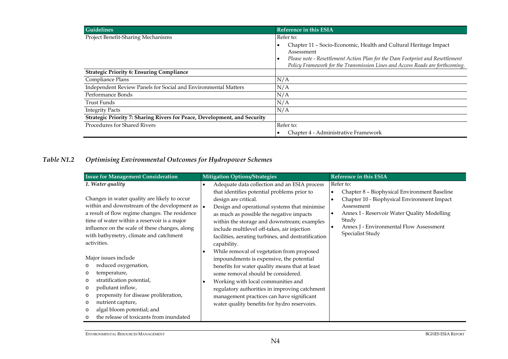| <b>Guidelines</b>                                                         | <b>Reference in this ESIA</b>                                                 |
|---------------------------------------------------------------------------|-------------------------------------------------------------------------------|
| Project Benefit-Sharing Mechanisms                                        | Refer to:                                                                     |
|                                                                           | Chapter 11 - Socio-Economic, Health and Cultural Heritage Impact              |
|                                                                           | Assessment                                                                    |
|                                                                           | Please note - Resettlement Action Plan for the Dam Footprint and Resettlement |
|                                                                           | Policy Framework for the Transmission Lines and Access Roads are forthcoming. |
| <b>Strategic Priority 6: Ensuring Compliance</b>                          |                                                                               |
| Compliance Plans                                                          | N/A                                                                           |
| Independent Review Panels for Social and Environmental Matters            | N/A                                                                           |
| Performance Bonds                                                         | N/A                                                                           |
| Trust Funds                                                               | N/A                                                                           |
| <b>Integrity Pacts</b>                                                    | N/A                                                                           |
| Strategic Priority 7: Sharing Rivers for Peace, Development, and Security |                                                                               |
| Procedures for Shared Rivers                                              | Refer to:                                                                     |
|                                                                           | Chapter 4 - Administrative Framework                                          |

# *Table N1.2 Optimising Environmental Outcomes for Hydropower Schemes*

| <b>Issue for Management Consideration</b>                                                                                                                                                    | <b>Mitigation Options/Strategies</b>                                                                                                                                                                           | Reference in this ESIA                                                                                                                                                         |
|----------------------------------------------------------------------------------------------------------------------------------------------------------------------------------------------|----------------------------------------------------------------------------------------------------------------------------------------------------------------------------------------------------------------|--------------------------------------------------------------------------------------------------------------------------------------------------------------------------------|
| 1. Water quality                                                                                                                                                                             | Adequate data collection and an ESIA process<br>$\bullet$                                                                                                                                                      | Refer to:                                                                                                                                                                      |
| Changes in water quality are likely to occur<br>within and downstream of the development as<br>a result of flow regime changes. The residence<br>time of water within a reservoir is a major | that identifies potential problems prior to<br>design are critical.<br>Design and operational systems that minimise<br>as much as possible the negative impacts<br>within the storage and downstream; examples | Chapter 8 - Biophysical Environment Baseline<br>$\bullet$<br>Chapter 10 - Biophysical Environment Impact<br>Assessment<br>Annex I - Reservoir Water Quality Modelling<br>Study |
| influence on the scale of these changes, along<br>with bathymetry, climate and catchment<br>activities.                                                                                      | include multilevel off-takes, air injection<br>facilities, aerating turbines, and destratification<br>capability.                                                                                              | Annex J - Environmental Flow Assessment<br>Specialist Study                                                                                                                    |
|                                                                                                                                                                                              | While removal of vegetation from proposed<br>$\bullet$                                                                                                                                                         |                                                                                                                                                                                |
| Major issues include                                                                                                                                                                         | impoundments is expensive, the potential                                                                                                                                                                       |                                                                                                                                                                                |
| reduced oxygenation,                                                                                                                                                                         | benefits for water quality means that at least                                                                                                                                                                 |                                                                                                                                                                                |
| temperature,                                                                                                                                                                                 | some removal should be considered.                                                                                                                                                                             |                                                                                                                                                                                |
| stratification potential,<br>$\circ$                                                                                                                                                         | Working with local communities and                                                                                                                                                                             |                                                                                                                                                                                |
| pollutant inflow,<br>$\circ$                                                                                                                                                                 | regulatory authorities in improving catchment                                                                                                                                                                  |                                                                                                                                                                                |
| propensity for disease proliferation,                                                                                                                                                        | management practices can have significant                                                                                                                                                                      |                                                                                                                                                                                |
| nutrient capture,                                                                                                                                                                            | water quality benefits for hydro reservoirs.                                                                                                                                                                   |                                                                                                                                                                                |
| algal bloom potential; and                                                                                                                                                                   |                                                                                                                                                                                                                |                                                                                                                                                                                |
| the release of toxicants from inundated                                                                                                                                                      |                                                                                                                                                                                                                |                                                                                                                                                                                |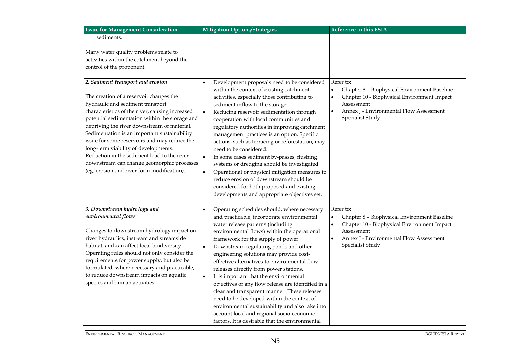| <b>Issue for Management Consideration</b>                                                                                                                                                                                                                                                                                                                                                                                                                                                                                                               | <b>Mitigation Options/Strategies</b>                                                                                                                                                                                                                                                                                                                                                                                                                                                                                                                                                                                                                                                                                                                                                      | <b>Reference in this ESIA</b>                                                                                                                                                                                                |
|---------------------------------------------------------------------------------------------------------------------------------------------------------------------------------------------------------------------------------------------------------------------------------------------------------------------------------------------------------------------------------------------------------------------------------------------------------------------------------------------------------------------------------------------------------|-------------------------------------------------------------------------------------------------------------------------------------------------------------------------------------------------------------------------------------------------------------------------------------------------------------------------------------------------------------------------------------------------------------------------------------------------------------------------------------------------------------------------------------------------------------------------------------------------------------------------------------------------------------------------------------------------------------------------------------------------------------------------------------------|------------------------------------------------------------------------------------------------------------------------------------------------------------------------------------------------------------------------------|
| sediments.                                                                                                                                                                                                                                                                                                                                                                                                                                                                                                                                              |                                                                                                                                                                                                                                                                                                                                                                                                                                                                                                                                                                                                                                                                                                                                                                                           |                                                                                                                                                                                                                              |
| Many water quality problems relate to<br>activities within the catchment beyond the<br>control of the proponent.                                                                                                                                                                                                                                                                                                                                                                                                                                        |                                                                                                                                                                                                                                                                                                                                                                                                                                                                                                                                                                                                                                                                                                                                                                                           |                                                                                                                                                                                                                              |
| 2. Sediment transport and erosion<br>The creation of a reservoir changes the<br>hydraulic and sediment transport<br>characteristics of the river, causing increased<br>potential sedimentation within the storage and<br>depriving the river downstream of material.<br>Sedimentation is an important sustainability<br>issue for some reservoirs and may reduce the<br>long-term viability of developments.<br>Reduction in the sediment load to the river<br>downstream can change geomorphic processes<br>(eg. erosion and river form modification). | Development proposals need to be considered<br>$\bullet$<br>within the context of existing catchment<br>activities, especially those contributing to<br>sediment inflow to the storage.<br>Reducing reservoir sedimentation through<br>$\bullet$<br>cooperation with local communities and<br>regulatory authorities in improving catchment<br>management practices is an option. Specific<br>actions, such as terracing or reforestation, may<br>need to be considered.<br>In some cases sediment by-passes, flushing<br>$\bullet$<br>systems or dredging should be investigated.<br>Operational or physical mitigation measures to<br>$\bullet$<br>reduce erosion of downstream should be<br>considered for both proposed and existing<br>developments and appropriate objectives set.  | Refer to:<br>Chapter 8 - Biophysical Environment Baseline<br>$\bullet$<br>Chapter 10 - Biophysical Environment Impact<br>$\bullet$<br>Assessment<br>Annex J - Environmental Flow Assessment<br>$\bullet$<br>Specialist Study |
| 3. Downstream hydrology and<br>environmental flows<br>Changes to downstream hydrology impact on<br>river hydraulics, instream and streamside<br>habitat, and can affect local biodiversity.<br>Operating rules should not only consider the<br>requirements for power supply, but also be<br>formulated, where necessary and practicable,<br>to reduce downstream impacts on aquatic<br>species and human activities.                                                                                                                                   | Operating schedules should, where necessary<br>$\bullet$<br>and practicable, incorporate environmental<br>water release patterns (including<br>environmental flows) within the operational<br>framework for the supply of power.<br>Downstream regulating ponds and other<br>$\bullet$<br>engineering solutions may provide cost-<br>effective alternatives to environmental flow<br>releases directly from power stations.<br>It is important that the environmental<br>$\bullet$<br>objectives of any flow release are identified in a<br>clear and transparent manner. These releases<br>need to be developed within the context of<br>environmental sustainability and also take into<br>account local and regional socio-economic<br>factors. It is desirable that the environmental | Refer to:<br>Chapter 8 - Biophysical Environment Baseline<br>$\bullet$<br>Chapter 10 - Biophysical Environment Impact<br>$\bullet$<br>Assessment<br>Annex J - Environmental Flow Assessment<br>$\bullet$<br>Specialist Study |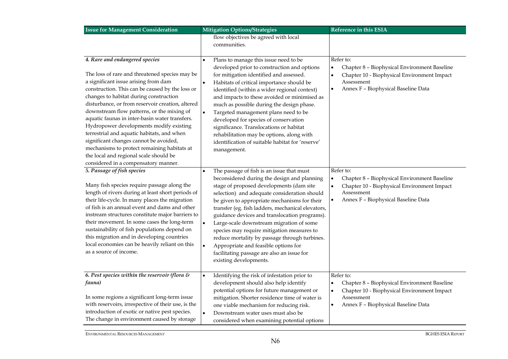| <b>Issue for Management Consideration</b>                                                                                                                                                                                                                                                                                                                                                                                                                                                                                                                                                                                                     | <b>Mitigation Options/Strategies</b>                                                                                                                                                                                                                                                                                                                                                                                                                                                                                                                                                                                                         | Reference in this ESIA                                                                                                                                                                               |  |
|-----------------------------------------------------------------------------------------------------------------------------------------------------------------------------------------------------------------------------------------------------------------------------------------------------------------------------------------------------------------------------------------------------------------------------------------------------------------------------------------------------------------------------------------------------------------------------------------------------------------------------------------------|----------------------------------------------------------------------------------------------------------------------------------------------------------------------------------------------------------------------------------------------------------------------------------------------------------------------------------------------------------------------------------------------------------------------------------------------------------------------------------------------------------------------------------------------------------------------------------------------------------------------------------------------|------------------------------------------------------------------------------------------------------------------------------------------------------------------------------------------------------|--|
|                                                                                                                                                                                                                                                                                                                                                                                                                                                                                                                                                                                                                                               | flow objectives be agreed with local<br>communities.                                                                                                                                                                                                                                                                                                                                                                                                                                                                                                                                                                                         |                                                                                                                                                                                                      |  |
| 4. Rare and endangered species<br>The loss of rare and threatened species may be<br>a significant issue arising from dam<br>construction. This can be caused by the loss or<br>changes to habitat during construction<br>disturbance, or from reservoir creation, altered<br>downstream flow patterns, or the mixing of<br>aquatic faunas in inter-basin water transfers.<br>Hydropower developments modify existing<br>terrestrial and aquatic habitats, and when<br>significant changes cannot be avoided,<br>mechanisms to protect remaining habitats at<br>the local and regional scale should be<br>considered in a compensatory manner. | Plans to manage this issue need to be<br>$\bullet$<br>developed prior to construction and options<br>for mitigation identified and assessed.<br>Habitats of critical importance should be<br>$\bullet$<br>identified (within a wider regional context)<br>and impacts to these avoided or minimised as<br>much as possible during the design phase.<br>$\bullet$<br>Targeted management plans need to be<br>developed for species of conservation<br>significance. Translocations or habitat<br>rehabilitation may be options, along with<br>identification of suitable habitat for 'reserve'<br>management.                                 | Refer to:<br>Chapter 8 - Biophysical Environment Baseline<br>$\bullet$<br>Chapter 10 - Biophysical Environment Impact<br>$\bullet$<br>Assessment<br>Annex F - Biophysical Baseline Data<br>$\bullet$ |  |
| 5. Passage of fish species<br>Many fish species require passage along the<br>length of rivers during at least short periods of<br>their life-cycle. In many places the migration<br>of fish is an annual event and dams and other<br>instream structures constitute major barriers to<br>their movement. In some cases the long-term<br>sustainability of fish populations depend on<br>this migration and in developing countries<br>local economies can be heavily reliant on this<br>as a source of income.                                                                                                                                | The passage of fish is an issue that must<br>$\bullet$<br>beconsidered during the design and planning<br>stage of proposed developments (dam site<br>selection) and adequate consideration should<br>be given to appropriate mechanisms for their<br>transfer (eg. fish ladders, mechanical elevators,<br>guidance devices and translocation programs).<br>Large-scale downstream migration of some<br>$\bullet$<br>species may require mitigation measures to<br>reduce mortality by passage through turbines.<br>Appropriate and feasible options for<br>$\bullet$<br>facilitating passage are also an issue for<br>existing developments. | Refer to:<br>Chapter 8 - Biophysical Environment Baseline<br>$\bullet$<br>Chapter 10 - Biophysical Environment Impact<br>$\bullet$<br>Assessment<br>Annex F - Biophysical Baseline Data<br>$\bullet$ |  |
| 6. Pest species within the reservoir (flora $\mathcal S$<br>fauna)<br>In some regions a significant long-term issue<br>with reservoirs, irrespective of their use, is the<br>introduction of exotic or native pest species.<br>The change in environment caused by storage                                                                                                                                                                                                                                                                                                                                                                    | Identifying the risk of infestation prior to<br>$\bullet$<br>development should also help identify<br>potential options for future management or<br>mitigation. Shorter residence time of water is<br>one viable mechanism for reducing risk.<br>Downstream water uses must also be<br>considered when examining potential options                                                                                                                                                                                                                                                                                                           | Refer to:<br>Chapter 8 - Biophysical Environment Baseline<br>$\bullet$<br>Chapter 10 - Biophysical Environment Impact<br>$\bullet$<br>Assessment<br>Annex F - Biophysical Baseline Data              |  |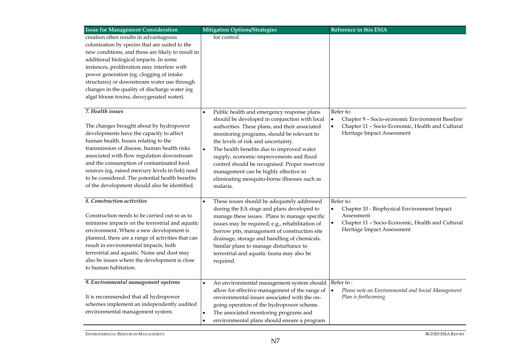| <b>Issue for Management Consideration</b>                                                                                                                                                                                                                                                                                                                                                                                                        | <b>Mitigation Options/Strategies</b>                                                                                                                                                                                                                                                                                                                                                                                                                                                                        | <b>Reference in this ESIA</b>                                                                                                                                                      |
|--------------------------------------------------------------------------------------------------------------------------------------------------------------------------------------------------------------------------------------------------------------------------------------------------------------------------------------------------------------------------------------------------------------------------------------------------|-------------------------------------------------------------------------------------------------------------------------------------------------------------------------------------------------------------------------------------------------------------------------------------------------------------------------------------------------------------------------------------------------------------------------------------------------------------------------------------------------------------|------------------------------------------------------------------------------------------------------------------------------------------------------------------------------------|
| creation often results in advantageous<br>colonisation by species that are suited to the<br>new conditions, and these are likely to result in<br>additional biological impacts. In some<br>instances, proliferation may interfere with<br>power generation (eg. clogging of intake<br>structures) or downstream water use through<br>changes in the quality of discharge water (eg<br>algal bloom toxins, deoxygenated water).                   | for control.                                                                                                                                                                                                                                                                                                                                                                                                                                                                                                |                                                                                                                                                                                    |
| 7. Health issues<br>The changes brought about by hydropower<br>developments have the capacity to affect<br>human health. Issues relating to the<br>transmission of disease, human health risks<br>associated with flow regulation downstream<br>and the consumption of contaminated food<br>sources (eg, raised mercury levels in fish) need<br>to be considered. The potential health benefits<br>of the development should also be identified. | Public health and emergency response plans<br>$\bullet$<br>should be developed in conjunction with local<br>authorities. These plans, and their associated<br>monitoring programs, should be relevant to<br>the levels of risk and uncertainty.<br>The health benefits due to improved water<br>$\bullet$<br>supply, economic improvements and flood<br>control should be recognised. Proper reservoir<br>management can be highly effective in<br>eliminating mosquito-borne illnesses such as<br>malaria. | Refer to:<br>Chapter 9 - Socio-economic Environment Baseline<br>$\bullet$<br>Chapter 11 - Socio-Economic, Health and Cultural<br>$\bullet$<br>Heritage Impact Assessment           |
| 8. Construction activities<br>Construction needs to be carried out so as to<br>minimise impacts on the terrestrial and aquatic<br>environment. Where a new development is<br>planned, there are a range of activities that can<br>result in environmental impacts, both<br>terrestrial and aquatic. Noise and dust may<br>also be issues where the development is close<br>to human habitation.                                                  | These issues should be adequately addressed<br>during the EA stage and plans developed to<br>manage these issues. Plans to manage specific<br>issues may be required; e.g., rehabilitation of<br>borrow pits, management of construction site<br>drainage, storage and handling of chemicals.<br>Similar plans to manage disturbance to<br>terrestrial and aquatic fauna may also be<br>required.                                                                                                           | Refer to:<br>Chapter 10 - Biophysical Environment Impact<br>$\bullet$<br>Assessment<br>Chapter 11 - Socio-Economic, Health and Cultural<br>$\bullet$<br>Heritage Impact Assessment |
| 9. Environmental management systems<br>It is recommended that all hydropower<br>schemes implement an independently audited<br>environmental management system.                                                                                                                                                                                                                                                                                   | An environmental management system should<br>$\bullet$<br>allow for effective management of the range of<br>environmental issues associated with the on-<br>going operation of the hydropower scheme.<br>The associated monitoring programs and<br>environmental plans should ensure a program<br>$\bullet$                                                                                                                                                                                                 | Refer to:<br>Please note an Environmental and Social Management<br>$\bullet$<br>Plan is forthcoming.                                                                               |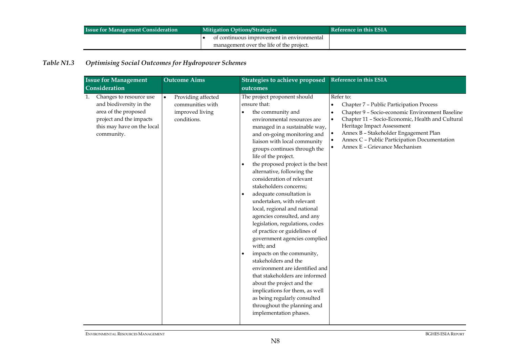| <b>Issue for Management Consideration</b> | <b>Mitigation Options/Strategies</b>       | Reference in this ESIA |
|-------------------------------------------|--------------------------------------------|------------------------|
|                                           | of continuous improvement in environmental |                        |
|                                           | management over the life of the project.   |                        |

# *Table N1.3 Optimising Social Outcomes for Hydropower Schemes*

| <b>Issue for Management</b><br>Consideration                                                                                                            | <b>Outcome Aims</b>                                                                   | Strategies to achieve proposed<br>outcomes                                                                                                                                                                                                                                                                                                                                                                                                                                                                                                                                                                                                                                                                                                                                                                                                                                                                                                                     | Reference in this ESIA                                                                                                                                                                                                                                                                                                                                      |
|---------------------------------------------------------------------------------------------------------------------------------------------------------|---------------------------------------------------------------------------------------|----------------------------------------------------------------------------------------------------------------------------------------------------------------------------------------------------------------------------------------------------------------------------------------------------------------------------------------------------------------------------------------------------------------------------------------------------------------------------------------------------------------------------------------------------------------------------------------------------------------------------------------------------------------------------------------------------------------------------------------------------------------------------------------------------------------------------------------------------------------------------------------------------------------------------------------------------------------|-------------------------------------------------------------------------------------------------------------------------------------------------------------------------------------------------------------------------------------------------------------------------------------------------------------------------------------------------------------|
| Changes to resource use<br>1.<br>and biodiversity in the<br>area of the proposed<br>project and the impacts<br>this may have on the local<br>community. | Providing affected<br>$\bullet$<br>communities with<br>improved living<br>conditions. | The project proponent should<br>ensure that:<br>the community and<br>$\bullet$<br>environmental resources are<br>managed in a sustainable way,<br>and on-going monitoring and<br>liaison with local community<br>groups continues through the<br>life of the project.<br>the proposed project is the best<br>$\bullet$<br>alternative, following the<br>consideration of relevant<br>stakeholders concerns;<br>adequate consultation is<br>$\bullet$<br>undertaken, with relevant<br>local, regional and national<br>agencies consulted, and any<br>legislation, regulations, codes<br>of practice or guidelines of<br>government agencies complied<br>with; and<br>impacts on the community,<br>$\bullet$<br>stakeholders and the<br>environment are identified and<br>that stakeholders are informed<br>about the project and the<br>implications for them, as well<br>as being regularly consulted<br>throughout the planning and<br>implementation phases. | Refer to:<br>Chapter 7 - Public Participation Process<br>$\bullet$<br>Chapter 9 - Socio-economic Environment Baseline<br>$\bullet$<br>Chapter 11 - Socio-Economic, Health and Cultural<br>$\bullet$<br>Heritage Impact Assessment<br>Annex B - Stakeholder Engagement Plan<br>Annex C - Public Participation Documentation<br>Annex E - Grievance Mechanism |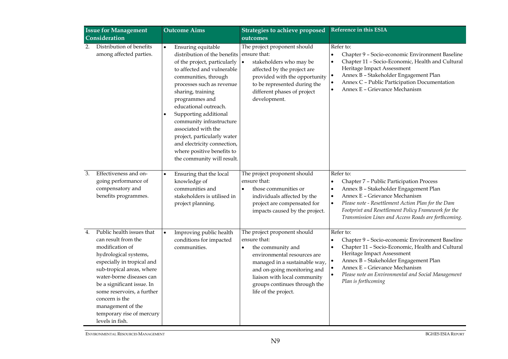|    | <b>Issue for Management</b>                                                                                                                                                                                                                                                                                                            |                        | <b>Outcome Aims</b>                                                                                                                                                                                                                                                                                                                                                                                                                         |           | Strategies to achieve proposed                                                                                                                                                                                                                           |                                                               | Reference in this ESIA                                                                                                                                                                                                                                                                                |
|----|----------------------------------------------------------------------------------------------------------------------------------------------------------------------------------------------------------------------------------------------------------------------------------------------------------------------------------------|------------------------|---------------------------------------------------------------------------------------------------------------------------------------------------------------------------------------------------------------------------------------------------------------------------------------------------------------------------------------------------------------------------------------------------------------------------------------------|-----------|----------------------------------------------------------------------------------------------------------------------------------------------------------------------------------------------------------------------------------------------------------|---------------------------------------------------------------|-------------------------------------------------------------------------------------------------------------------------------------------------------------------------------------------------------------------------------------------------------------------------------------------------------|
|    | Consideration                                                                                                                                                                                                                                                                                                                          |                        |                                                                                                                                                                                                                                                                                                                                                                                                                                             |           | outcomes                                                                                                                                                                                                                                                 |                                                               |                                                                                                                                                                                                                                                                                                       |
| 2. | Distribution of benefits<br>among affected parties.                                                                                                                                                                                                                                                                                    | $\bullet$<br>$\bullet$ | Ensuring equitable<br>distribution of the benefits<br>of the project, particularly<br>to affected and vulnerable<br>communities, through<br>processes such as revenue<br>sharing, training<br>programmes and<br>educational outreach.<br>Supporting additional<br>community infrastructure<br>associated with the<br>project, particularly water<br>and electricity connection,<br>where positive benefits to<br>the community will result. | $\bullet$ | The project proponent should<br>ensure that:<br>stakeholders who may be<br>affected by the project are<br>provided with the opportunity<br>to be represented during the<br>different phases of project<br>development.                                   | $\bullet$<br>$\bullet$<br>$\bullet$<br>$\bullet$<br>$\bullet$ | Refer to:<br>Chapter 9 - Socio-economic Environment Baseline<br>Chapter 11 - Socio-Economic, Health and Cultural<br>Heritage Impact Assessment<br>Annex B - Stakeholder Engagement Plan<br>Annex C - Public Participation Documentation<br>Annex E - Grievance Mechanism                              |
| 3. | Effectiveness and on-<br>going performance of<br>compensatory and<br>benefits programmes.                                                                                                                                                                                                                                              | $\bullet$              | Ensuring that the local<br>knowledge of<br>communities and<br>stakeholders is utilised in<br>project planning.                                                                                                                                                                                                                                                                                                                              |           | The project proponent should<br>ensure that:<br>those communities or<br>individuals affected by the<br>project are compensated for<br>impacts caused by the project.                                                                                     | $\bullet$<br>$\bullet$<br>$\bullet$<br>$\bullet$              | Refer to:<br>Chapter 7 - Public Participation Process<br>Annex B - Stakeholder Engagement Plan<br>Annex E - Grievance Mechanism<br>Please note - Resettlement Action Plan for the Dam<br>Footprint and Resettlement Policy Framework for the<br>Transmission Lines and Access Roads are forthcoming.  |
| 4. | Public health issues that<br>can result from the<br>modification of<br>hydrological systems,<br>especially in tropical and<br>sub-tropical areas, where<br>water-borne diseases can<br>be a significant issue. In<br>some reservoirs, a further<br>concern is the<br>management of the<br>temporary rise of mercury<br>levels in fish. | $\bullet$              | Improving public health<br>conditions for impacted<br>communities.                                                                                                                                                                                                                                                                                                                                                                          | $\bullet$ | The project proponent should<br>ensure that:<br>the community and<br>environmental resources are<br>managed in a sustainable way,<br>and on-going monitoring and<br>liaison with local community<br>groups continues through the<br>life of the project. | $\bullet$<br>$\bullet$<br>$\bullet$<br>$\bullet$<br>$\bullet$ | Refer to:<br>Chapter 9 - Socio-economic Environment Baseline<br>Chapter 11 - Socio-Economic, Health and Cultural<br>Heritage Impact Assessment<br>Annex B - Stakeholder Engagement Plan<br>Annex E - Grievance Mechanism<br>Please note an Environmental and Social Management<br>Plan is forthcoming |

ENVIRONMENTAL RESOURCES MANAGEMENT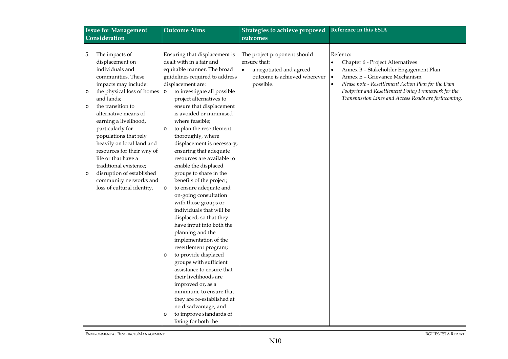| <b>Issue for Management</b> |                            |         | <b>Outcome Aims</b>            | Strategies to achieve proposed       | Reference in this ESIA                               |
|-----------------------------|----------------------------|---------|--------------------------------|--------------------------------------|------------------------------------------------------|
| Consideration               |                            |         |                                | outcomes                             |                                                      |
|                             |                            |         |                                |                                      |                                                      |
| 5.                          | The impacts of             |         | Ensuring that displacement is  | The project proponent should         | Refer to:                                            |
|                             | displacement on            |         | dealt with in a fair and       | ensure that:                         | Chapter 6 - Project Alternatives<br>$\bullet$        |
|                             | individuals and            |         | equitable manner. The broad    | a negotiated and agreed<br>$\bullet$ | Annex B - Stakeholder Engagement Plan<br>$\bullet$   |
|                             | communities. These         |         | guidelines required to address | outcome is achieved wherever         | Annex E - Grievance Mechanism<br>$\bullet$           |
|                             | impacts may include:       |         | displacement are:              | possible.                            | Please note - Resettlement Action Plan for the Dam   |
| $\circ$                     | the physical loss of homes | $\circ$ | to investigate all possible    |                                      | Footprint and Resettlement Policy Framework for the  |
|                             | and lands;                 |         | project alternatives to        |                                      | Transmission Lines and Access Roads are forthcoming. |
| $\circ$                     | the transition to          |         | ensure that displacement       |                                      |                                                      |
|                             | alternative means of       |         | is avoided or minimised        |                                      |                                                      |
|                             | earning a livelihood,      |         | where feasible;                |                                      |                                                      |
|                             | particularly for           | $\circ$ | to plan the resettlement       |                                      |                                                      |
|                             | populations that rely      |         | thoroughly, where              |                                      |                                                      |
|                             | heavily on local land and  |         | displacement is necessary,     |                                      |                                                      |
|                             | resources for their way of |         | ensuring that adequate         |                                      |                                                      |
|                             | life or that have a        |         | resources are available to     |                                      |                                                      |
|                             | traditional existence;     |         | enable the displaced           |                                      |                                                      |
| $\circ$                     | disruption of established  |         | groups to share in the         |                                      |                                                      |
|                             | community networks and     |         | benefits of the project;       |                                      |                                                      |
|                             | loss of cultural identity. | $\circ$ | to ensure adequate and         |                                      |                                                      |
|                             |                            |         | on-going consultation          |                                      |                                                      |
|                             |                            |         | with those groups or           |                                      |                                                      |
|                             |                            |         | individuals that will be       |                                      |                                                      |
|                             |                            |         | displaced, so that they        |                                      |                                                      |
|                             |                            |         | have input into both the       |                                      |                                                      |
|                             |                            |         | planning and the               |                                      |                                                      |
|                             |                            |         | implementation of the          |                                      |                                                      |
|                             |                            |         | resettlement program;          |                                      |                                                      |
|                             |                            | $\circ$ | to provide displaced           |                                      |                                                      |
|                             |                            |         | groups with sufficient         |                                      |                                                      |
|                             |                            |         | assistance to ensure that      |                                      |                                                      |
|                             |                            |         | their livelihoods are          |                                      |                                                      |
|                             |                            |         | improved or, as a              |                                      |                                                      |
|                             |                            |         | minimum, to ensure that        |                                      |                                                      |
|                             |                            |         | they are re-established at     |                                      |                                                      |
|                             |                            |         | no disadvantage; and           |                                      |                                                      |
|                             |                            | $\circ$ | to improve standards of        |                                      |                                                      |
|                             |                            |         | living for both the            |                                      |                                                      |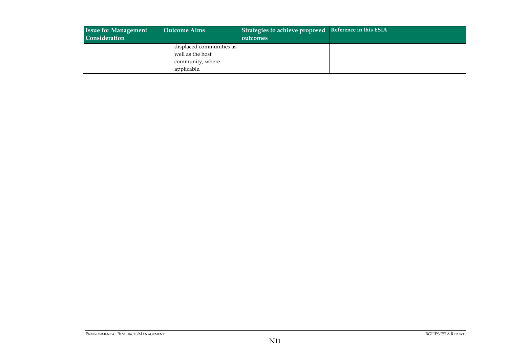| <b>Issue for Management</b><br><b>Outcome Aims</b><br><b>Consideration</b> |                                 | Strategies to achieve proposed<br>outcomes | Reference in this ESIA |
|----------------------------------------------------------------------------|---------------------------------|--------------------------------------------|------------------------|
| displaced communities as<br>well as the host                               |                                 |                                            |                        |
|                                                                            | community, where<br>applicable. |                                            |                        |

ENVIRONMENTAL RESOURCES MANAGEMENT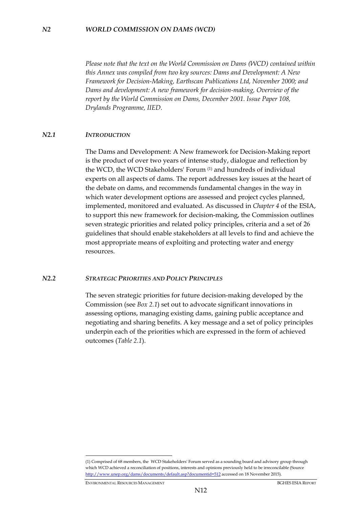#### *N2 WORLD COMMISSION ON DAMS (WCD)*

*Please note that the text on the World Commission on Dams (WCD) contained within this Annex was compiled from two key sources: Dams and Development: A New Framework for Decision-Making, Earthscan Publications Ltd, November 2000; and Dams and development: A new framework for decision-making, Overview of the report by the World Commission on Dams, December 2001. Issue Paper 108, Drylands Programme, IIED.* 

#### *N2.1 INTRODUCTION*

The Dams and Development: A New framework for Decision-Making report is the product of over two years of intense study, dialogue and reflection by the WCD, the WCD Stakeholders' Forum (1) and hundreds of individual experts on all aspects of dams. The report addresses key issues at the heart of the debate on dams, and recommends fundamental changes in the way in which water development options are assessed and project cycles planned, implemented, monitored and evaluated. As discussed in *Chapter 4* of the ESIA, to support this new framework for decision-making, the Commission outlines seven strategic priorities and related policy principles, criteria and a set of 26 guidelines that should enable stakeholders at all levels to find and achieve the most appropriate means of exploiting and protecting water and energy resources.

#### *N2.2 STRATEGIC PRIORITIES AND POLICY PRINCIPLES*

The seven strategic priorities for future decision-making developed by the Commission (see *Box 2.1*) set out to advocate significant innovations in assessing options, managing existing dams, gaining public acceptance and negotiating and sharing benefits. A key message and a set of policy principles underpin each of the priorities which are expressed in the form of achieved outcomes (*Table 2.1*).

ENVIRONMENTAL RESOURCES MANAGEMENT BGHES ESIA REPORT

<u>.</u>

<sup>(1)</sup> Comprised of 68 members, the WCD Stakeholders' Forum served as a sounding board and advisory group through which WCD achieved a reconciliation of positions, interests and opinions previously held to be irreconcilable (Source http://www.unep.org/dams/documents/default.asp?documentid=512 accessed on 18 November 2015).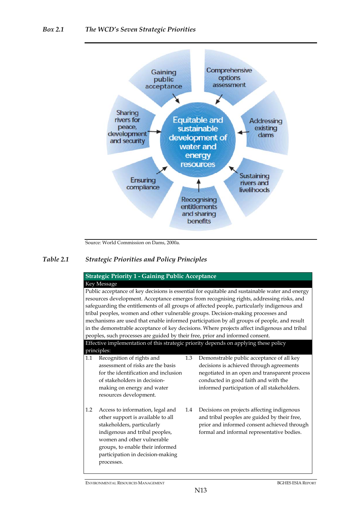

Source: World Commission on Dams, 2000a.

## *Table 2.1 Strategic Priorities and Policy Principles*

#### **Strategic Priority 1 - Gaining Public Acceptance**  Key Message Public acceptance of key decisions is essential for equitable and sustainable water and energy resources development. Acceptance emerges from recognising rights, addressing risks, and safeguarding the entitlements of all groups of affected people, particularly indigenous and tribal peoples, women and other vulnerable groups. Decision-making processes and mechanisms are used that enable informed participation by all groups of people, and result in the demonstrable acceptance of key decisions. Where projects affect indigenous and tribal peoples, such processes are guided by their free, prior and informed consent. Effective implementation of this strategic priority depends on applying these policy principles: 1.1 Recognition of rights and assessment of risks are the basis for the identification and inclusion of stakeholders in decisionmaking on energy and water resources development. 1.3 Demonstrable public acceptance of all key decisions is achieved through agreements negotiated in an open and transparent process conducted in good faith and with the informed participation of all stakeholders. 1.2 Access to information, legal and other support is available to all stakeholders, particularly indigenous and tribal peoples, women and other vulnerable groups, to enable their informed participation in decision-making processes. 1.4 Decisions on projects affecting indigenous and tribal peoples are guided by their free, prior and informed consent achieved through formal and informal representative bodies.

ENVIRONMENTAL RESOURCES MANAGEMENT BGHES ESIA REPORT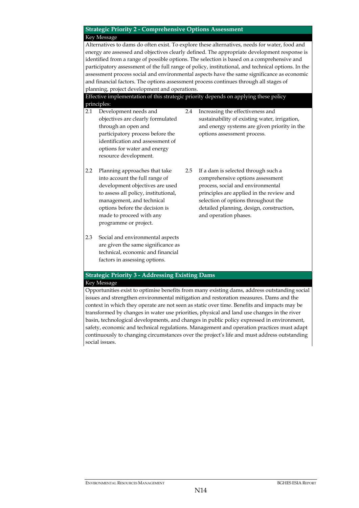#### **Strategic Priority 2 - Comprehensive Options Assessment**  Key Message

Alternatives to dams do often exist. To explore these alternatives, needs for water, food and energy are assessed and objectives clearly defined. The appropriate development response is identified from a range of possible options. The selection is based on a comprehensive and participatory assessment of the full range of policy, institutional, and technical options. In the assessment process social and environmental aspects have the same significance as economic and financial factors. The options assessment process continues through all stages of planning, project development and operations.

#### Effective implementation of this strategic priority depends on applying these policy principles:

- 2.1 Development needs and objectives are clearly formulated through an open and participatory process before the identification and assessment of options for water and energy resource development.
- 2.2 Planning approaches that take into account the full range of development objectives are used to assess all policy, institutional, management, and technical options before the decision is made to proceed with any programme or project.
- 2.3 Social and environmental aspects are given the same significance as technical, economic and financial factors in assessing options.
- 2.4 Increasing the effectiveness and sustainability of existing water, irrigation, and energy systems are given priority in the options assessment process.
- 2.5 If a dam is selected through such a comprehensive options assessment process, social and environmental principles are applied in the review and selection of options throughout the detailed planning, design, construction, and operation phases.

#### **Strategic Priority 3 - Addressing Existing Dams**  Key Message

Opportunities exist to optimise benefits from many existing dams, address outstanding social issues and strengthen environmental mitigation and restoration measures. Dams and the context in which they operate are not seen as static over time. Benefits and impacts may be transformed by changes in water use priorities, physical and land use changes in the river basin, technological developments, and changes in public policy expressed in environment, safety, economic and technical regulations. Management and operation practices must adapt continuously to changing circumstances over the project's life and must address outstanding social issues.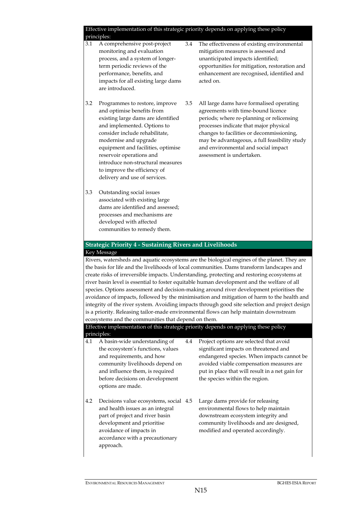#### Effective implementation of this strategic priority depends on applying these policy principles:

- 3.1 A comprehensive post-project monitoring and evaluation process, and a system of longerterm periodic reviews of the performance, benefits, and impacts for all existing large dams are introduced.
- 3.2 Programmes to restore, improve and optimise benefits from existing large dams are identified and implemented. Options to consider include rehabilitate, modernise and upgrade equipment and facilities, optimise reservoir operations and introduce non-structural measures to improve the efficiency of delivery and use of services.
- 3.3 Outstanding social issues associated with existing large dams are identified and assessed; processes and mechanisms are developed with affected communities to remedy them.
- 3.4 The effectiveness of existing environmental mitigation measures is assessed and unanticipated impacts identified; opportunities for mitigation, restoration and enhancement are recognised, identified and acted on.
- 3.5 All large dams have formalised operating agreements with time-bound licence periods; where re-planning or relicensing processes indicate that major physical changes to facilities or decommissioning, may be advantageous, a full feasibility study and environmental and social impact assessment is undertaken.

#### **Strategic Priority 4 - Sustaining Rivers and Livelihoods**  Key Message

Rivers, watersheds and aquatic ecosystems are the biological engines of the planet. They are the basis for life and the livelihoods of local communities. Dams transform landscapes and create risks of irreversible impacts. Understanding, protecting and restoring ecosystems at river basin level is essential to foster equitable human development and the welfare of all species. Options assessment and decision-making around river development prioritises the avoidance of impacts, followed by the minimisation and mitigation of harm to the health and integrity of the river system. Avoiding impacts through good site selection and project design is a priority. Releasing tailor-made environmental flows can help maintain downstream ecosystems and the communities that depend on them.

Effective implementation of this strategic priority depends on applying these policy principles:

- 4.1 A basin-wide understanding of the ecosystem's functions, values and requirements, and how community livelihoods depend on and influence them, is required before decisions on development options are made.
- 4.2 Decisions value ecosystems, social and health issues as an integral part of project and river basin development and prioritise avoidance of impacts in accordance with a precautionary approach.
- 4.4 Project options are selected that avoid significant impacts on threatened and endangered species. When impacts cannot be avoided viable compensation measures are put in place that will result in a net gain for the species within the region.
	- Large dams provide for releasing environmental flows to help maintain downstream ecosystem integrity and community livelihoods and are designed, modified and operated accordingly.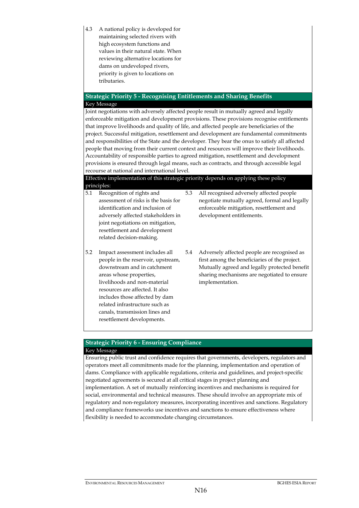4.3 A national policy is developed for maintaining selected rivers with high ecosystem functions and values in their natural state. When reviewing alternative locations for dams on undeveloped rivers, priority is given to locations on tributaries.

#### **Strategic Priority 5 - Recognising Entitlements and Sharing Benefits**  Key Message

Joint negotiations with adversely affected people result in mutually agreed and legally enforceable mitigation and development provisions. These provisions recognise entitlements that improve livelihoods and quality of life, and affected people are beneficiaries of the project. Successful mitigation, resettlement and development are fundamental commitments and responsibilities of the State and the developer. They bear the onus to satisfy all affected people that moving from their current context and resources will improve their livelihoods. Accountability of responsible parties to agreed mitigation, resettlement and development provisions is ensured through legal means, such as contracts, and through accessible legal recourse at national and international level.

#### Effective implementation of this strategic priority depends on applying these policy principles:

- 
- 5.1 Recognition of rights and assessment of risks is the basis for identification and inclusion of adversely affected stakeholders in joint negotiations on mitigation, resettlement and development related decision-making.
- 5.2 Impact assessment includes all people in the reservoir, upstream, downstream and in catchment areas whose properties, livelihoods and non-material resources are affected. It also includes those affected by dam related infrastructure such as canals, transmission lines and resettlement developments.
- 5.3 All recognised adversely affected people negotiate mutually agreed, formal and legally enforceable mitigation, resettlement and development entitlements.
- 5.4 Adversely affected people are recognised as first among the beneficiaries of the project. Mutually agreed and legally protected benefit sharing mechanisms are negotiated to ensure implementation.

# **Strategic Priority 6 - Ensuring Compliance**

#### Key Message

Ensuring public trust and confidence requires that governments, developers, regulators and operators meet all commitments made for the planning, implementation and operation of dams. Compliance with applicable regulations, criteria and guidelines, and project-specific negotiated agreements is secured at all critical stages in project planning and implementation. A set of mutually reinforcing incentives and mechanisms is required for social, environmental and technical measures. These should involve an appropriate mix of regulatory and non-regulatory measures, incorporating incentives and sanctions. Regulatory and compliance frameworks use incentives and sanctions to ensure effectiveness where flexibility is needed to accommodate changing circumstances.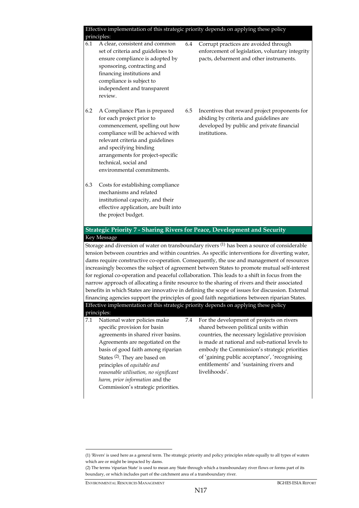| Effective implementation of this strategic priority depends on applying these policy<br>principles: |                                   |  |                                                 |  |
|-----------------------------------------------------------------------------------------------------|-----------------------------------|--|-------------------------------------------------|--|
| 6.1                                                                                                 | A clear, consistent and common    |  | 6.4 Corrupt practices are avoided through       |  |
|                                                                                                     | set of criteria and guidelines to |  | enforcement of legislation, voluntary integrity |  |
|                                                                                                     | ensure compliance is adopted by   |  | pacts, debarment and other instruments.         |  |
|                                                                                                     | sponsoring, contracting and       |  |                                                 |  |

6.2 A Compliance Plan is prepared for each project prior to commencement, spelling out how compliance will be achieved with relevant criteria and guidelines and specifying binding arrangements for project-specific technical, social and environmental commitments.

financing institutions and compliance is subject to independent and transparent

review.

- 6.3 Costs for establishing compliance mechanisms and related institutional capacity, and their effective application, are built into the project budget.
- 6.5 Incentives that reward project proponents for abiding by criteria and guidelines are developed by public and private financial institutions.

#### **Strategic Priority 7 - Sharing Rivers for Peace, Development and Security**  Key Message

Storage and diversion of water on transboundary rivers  $(1)$  has been a source of considerable tension between countries and within countries. As specific interventions for diverting water, dams require constructive co-operation. Consequently, the use and management of resources increasingly becomes the subject of agreement between States to promote mutual self-interest for regional co-operation and peaceful collaboration. This leads to a shift in focus from the narrow approach of allocating a finite resource to the sharing of rivers and their associated benefits in which States are innovative in defining the scope of issues for discussion. External financing agencies support the principles of good faith negotiations between riparian States. Effective implementation of this strategic priority depends on applying these policy

principles:

-

- 7.1 National water policies make specific provision for basin agreements in shared river basins. Agreements are negotiated on the basis of good faith among riparian States<sup>(2)</sup>. They are based on principles of *equitable and reasonable utilisation, no significant harm, prior information* and the Commission's strategic priorities.
- 7.4 For the development of projects on rivers shared between political units within countries, the necessary legislative provision is made at national and sub-national levels to embody the Commission's strategic priorities of 'gaining public acceptance', 'recognising entitlements' and 'sustaining rivers and livelihoods'.

(2) The terms 'riparian State' is used to mean any State through which a transboundary river flows or forms part of its boundary, or which includes part of the catchment area of a transboundary river.

<sup>(1) &#</sup>x27;Rivers' is used here as a general term. The strategic priority and policy principles relate equally to all types of waters which are or might be impacted by dams.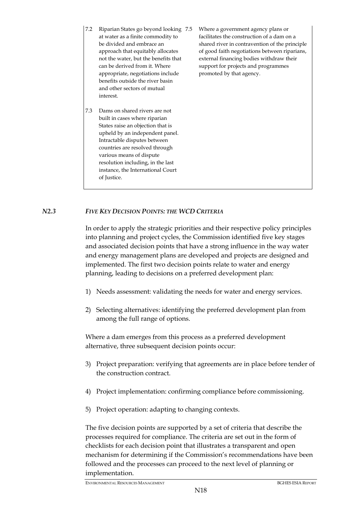- 7.2 Riparian States go beyond looking at water as a finite commodity to be divided and embrace an approach that equitably allocates not the water, but the benefits that can be derived from it. Where appropriate, negotiations include benefits outside the river basin and other sectors of mutual interest.
- 7.3 Dams on shared rivers are not built in cases where riparian States raise an objection that is upheld by an independent panel. Intractable disputes between countries are resolved through various means of dispute resolution including, in the last instance, the International Court of Justice.
- Where a government agency plans or facilitates the construction of a dam on a shared river in contravention of the principle of good faith negotiations between riparians, external financing bodies withdraw their support for projects and programmes promoted by that agency.

## *N2.3 FIVE KEY DECISION POINTS: THE WCD CRITERIA*

In order to apply the strategic priorities and their respective policy principles into planning and project cycles, the Commission identified five key stages and associated decision points that have a strong influence in the way water and energy management plans are developed and projects are designed and implemented. The first two decision points relate to water and energy planning, leading to decisions on a preferred development plan:

- 1) Needs assessment: validating the needs for water and energy services.
- 2) Selecting alternatives: identifying the preferred development plan from among the full range of options.

Where a dam emerges from this process as a preferred development alternative, three subsequent decision points occur:

- 3) Project preparation: verifying that agreements are in place before tender of the construction contract.
- 4) Project implementation: confirming compliance before commissioning.
- 5) Project operation: adapting to changing contexts.

The five decision points are supported by a set of criteria that describe the processes required for compliance. The criteria are set out in the form of checklists for each decision point that illustrates a transparent and open mechanism for determining if the Commission's recommendations have been followed and the processes can proceed to the next level of planning or implementation.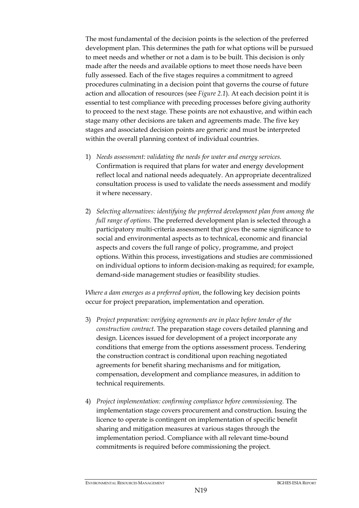The most fundamental of the decision points is the selection of the preferred development plan. This determines the path for what options will be pursued to meet needs and whether or not a dam is to be built. This decision is only made after the needs and available options to meet those needs have been fully assessed. Each of the five stages requires a commitment to agreed procedures culminating in a decision point that governs the course of future action and allocation of resources (see *Figure 2.1*). At each decision point it is essential to test compliance with preceding processes before giving authority to proceed to the next stage. These points are not exhaustive, and within each stage many other decisions are taken and agreements made. The five key stages and associated decision points are generic and must be interpreted within the overall planning context of individual countries.

- 1) *Needs assessment: validating the needs for water and energy services.* Confirmation is required that plans for water and energy development reflect local and national needs adequately. An appropriate decentralized consultation process is used to validate the needs assessment and modify it where necessary.
- 2) *Selecting alternatives: identifying the preferred development plan from among the full range of options.* The preferred development plan is selected through a participatory multi-criteria assessment that gives the same significance to social and environmental aspects as to technical, economic and financial aspects and covers the full range of policy, programme, and project options. Within this process, investigations and studies are commissioned on individual options to inform decision-making as required; for example, demand-side management studies or feasibility studies.

*Where a dam emerges as a preferred option*, the following key decision points occur for project preparation, implementation and operation.

- 3) *Project preparation: verifying agreements are in place before tender of the construction contract.* The preparation stage covers detailed planning and design. Licences issued for development of a project incorporate any conditions that emerge from the options assessment process. Tendering the construction contract is conditional upon reaching negotiated agreements for benefit sharing mechanisms and for mitigation, compensation, development and compliance measures, in addition to technical requirements.
- 4) *Project implementation: confirming compliance before commissioning.* The implementation stage covers procurement and construction. Issuing the licence to operate is contingent on implementation of specific benefit sharing and mitigation measures at various stages through the implementation period. Compliance with all relevant time-bound commitments is required before commissioning the project.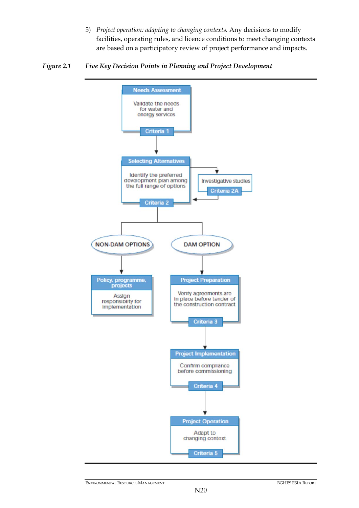5) *Project operation: adapting to changing contexts.* Any decisions to modify facilities, operating rules, and licence conditions to meet changing contexts are based on a participatory review of project performance and impacts.



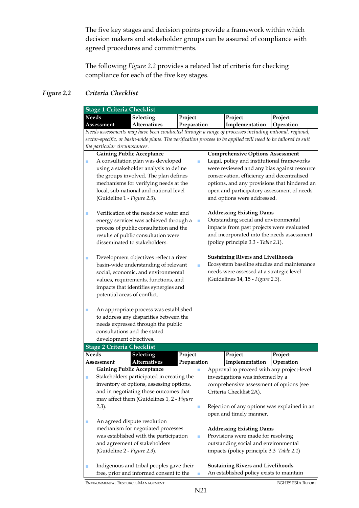The five key stages and decision points provide a framework within which decision makers and stakeholder groups can be assured of compliance with agreed procedures and commitments.

The following *Figure 2.2* provides a related list of criteria for checking compliance for each of the five key stages.

# *Figure 2.2 Criteria Checklist*

|              | <b>Stage 1 Criteria Checklist</b>                                                                             |                     |             |  |                                                                       |                                              |  |
|--------------|---------------------------------------------------------------------------------------------------------------|---------------------|-------------|--|-----------------------------------------------------------------------|----------------------------------------------|--|
| <b>Needs</b> | Selecting                                                                                                     |                     | Project     |  | Project                                                               | Project                                      |  |
|              | Assessment                                                                                                    | Alternatives        | Preparation |  | Implementation                                                        | Operation                                    |  |
|              | Needs assessments may have been conducted through a range of processes including national, regional,          |                     |             |  |                                                                       |                                              |  |
|              | sector-specific, or basin-wide plans. The verification process to be applied will need to be tailored to suit |                     |             |  |                                                                       |                                              |  |
|              | the particular circumstances.                                                                                 |                     |             |  |                                                                       |                                              |  |
|              | <b>Gaining Public Acceptance</b>                                                                              |                     |             |  | <b>Comprehensive Options Assessment</b>                               |                                              |  |
| П            | A consultation plan was developed                                                                             |                     |             |  | Legal, policy and institutional frameworks                            |                                              |  |
|              | using a stakeholder analysis to define                                                                        |                     |             |  |                                                                       | were reviewed and any bias against resource  |  |
|              | the groups involved. The plan defines                                                                         |                     |             |  | conservation, efficiency and decentralised                            |                                              |  |
|              | mechanisms for verifying needs at the                                                                         |                     |             |  |                                                                       | options, and any provisions that hindered an |  |
|              | local, sub-national and national level                                                                        |                     |             |  | open and participatory assessment of needs                            |                                              |  |
|              | (Guideline 1 - Figure 2.3).                                                                                   |                     |             |  | and options were addressed.                                           |                                              |  |
|              |                                                                                                               |                     |             |  |                                                                       |                                              |  |
| п            | Verification of the needs for water and                                                                       |                     |             |  | <b>Addressing Existing Dams</b>                                       |                                              |  |
|              | energy services was achieved through a                                                                        |                     | ٠           |  | Outstanding social and environmental                                  |                                              |  |
|              | process of public consultation and the                                                                        |                     |             |  | impacts from past projects were evaluated                             |                                              |  |
|              | results of public consultation were                                                                           |                     |             |  | and incorporated into the needs assessment                            |                                              |  |
|              | disseminated to stakeholders.                                                                                 |                     |             |  | (policy principle 3.3 - Table 2.1).                                   |                                              |  |
|              |                                                                                                               |                     |             |  | <b>Sustaining Rivers and Livelihoods</b>                              |                                              |  |
|              | Development objectives reflect a river<br>basin-wide understanding of relevant                                |                     | п           |  |                                                                       | Ecosystem baseline studies and maintenance   |  |
|              | social, economic, and environmental                                                                           |                     |             |  | needs were assessed at a strategic level                              |                                              |  |
|              | values, requirements, functions, and                                                                          |                     |             |  | (Guidelines 14, 15 - Figure 2.3).                                     |                                              |  |
|              | impacts that identifies synergies and                                                                         |                     |             |  |                                                                       |                                              |  |
|              | potential areas of conflict.                                                                                  |                     |             |  |                                                                       |                                              |  |
|              |                                                                                                               |                     |             |  |                                                                       |                                              |  |
| <b>I</b>     | An appropriate process was established                                                                        |                     |             |  |                                                                       |                                              |  |
|              | to address any disparities between the                                                                        |                     |             |  |                                                                       |                                              |  |
|              | needs expressed through the public                                                                            |                     |             |  |                                                                       |                                              |  |
|              | consultations and the stated                                                                                  |                     |             |  |                                                                       |                                              |  |
|              | development objectives.                                                                                       |                     |             |  |                                                                       |                                              |  |
|              | <b>Stage 2 Criteria Checklist</b>                                                                             |                     |             |  |                                                                       |                                              |  |
| <b>Needs</b> | Selecting                                                                                                     |                     | Project     |  | Project                                                               | Project                                      |  |
|              | Assessment                                                                                                    | <b>Alternatives</b> | Preparation |  | Implementation                                                        | Operation                                    |  |
|              | <b>Gaining Public Acceptance</b>                                                                              |                     |             |  | Approval to proceed with any project-level                            |                                              |  |
|              | Stakeholders participated in creating the                                                                     |                     |             |  | investigations was informed by a                                      |                                              |  |
|              | inventory of options, assessing options,                                                                      |                     |             |  | comprehensive assessment of options (see                              |                                              |  |
|              | and in negotiating those outcomes that                                                                        |                     |             |  | Criteria Checklist 2A).                                               |                                              |  |
|              | may affect them (Guidelines 1, 2 - Figure                                                                     |                     |             |  |                                                                       |                                              |  |
|              | $2.3$ ).                                                                                                      |                     |             |  |                                                                       | Rejection of any options was explained in an |  |
|              |                                                                                                               |                     |             |  | open and timely manner.                                               |                                              |  |
|              | An agreed dispute resolution                                                                                  |                     |             |  |                                                                       |                                              |  |
|              | mechanism for negotiated processes                                                                            |                     |             |  | <b>Addressing Existing Dams</b><br>Provisions were made for resolving |                                              |  |
|              | was established with the participation                                                                        |                     |             |  |                                                                       |                                              |  |
|              | and agreement of stakeholders<br>(Guideline 2 - Figure 2.3).                                                  |                     |             |  | outstanding social and environmental                                  |                                              |  |
|              |                                                                                                               |                     |             |  | impacts (policy principle 3.3 Table 2.1)                              |                                              |  |
|              | Indigenous and tribal peoples gave their                                                                      |                     |             |  | <b>Sustaining Rivers and Livelihoods</b>                              |                                              |  |
|              | free, prior and informed consent to the                                                                       |                     |             |  | An established policy exists to maintain                              |                                              |  |
|              |                                                                                                               |                     |             |  |                                                                       |                                              |  |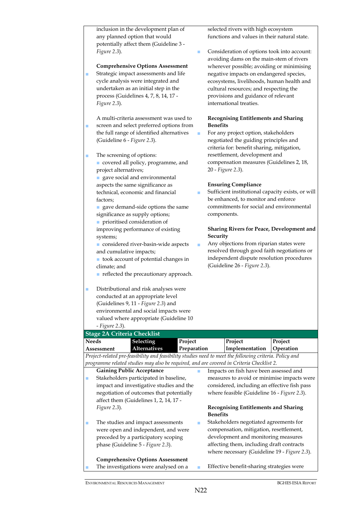inclusion in the development plan of any planned option that would potentially affect them (Guideline 3 - *Figure 2.3*).

**Comprehensive Options Assessment** 

■ Strategic impact assessments and life cycle analysis were integrated and undertaken as an initial step in the process (Guidelines 4, 7, 8, 14, 17 - *Figure 2.3*).

■ A multi-criteria assessment was used to screen and select preferred options from the full range of identified alternatives (Guideline 6 - *Figure 2.3*). ■

■ The screening of options: ■ covered all policy, programme, and project alternatives;

■ gave social and environmental aspects the same significance as technical, economic and financial factors;

■ gave demand-side options the same significance as supply options;

■ prioritised consideration of improving performance of existing systems;

■ considered river-basin-wide aspects and cumulative impacts;

■ took account of potential changes in climate; and

- reflected the precautionary approach.
- Distributional and risk analyses were conducted at an appropriate level (Guidelines 9, 11 - *Figure 2.3*) and environmental and social impacts were valued where appropriate (Guideline 10 - *Figure 2.3*).

selected rivers with high ecosystem functions and values in their natural state.

■ Consideration of options took into account: avoiding dams on the main-stem of rivers wherever possible; avoiding or minimising negative impacts on endangered species, ecosystems, livelihoods, human health and cultural resources; and respecting the provisions and guidance of relevant international treaties.

#### **Recognising Entitlements and Sharing Benefits**

For any project option, stakeholders negotiated the guiding principles and criteria for: benefit sharing, mitigation, resettlement, development and compensation measures (Guidelines 2, 18, 20 - *Figure 2.3*).

#### **Ensuring Compliance**

■ Sufficient institutional capacity exists, or will be enhanced, to monitor and enforce commitments for social and environmental components.

#### **Sharing Rivers for Peace, Development and Security**

Any objections from riparian states were resolved through good faith negotiations or independent dispute resolution procedures (Guideline 26 - *Figure 2.3*).

| <b>Stage 2A Criteria Checklist</b>                                                                      |  |  |  |  |  |
|---------------------------------------------------------------------------------------------------------|--|--|--|--|--|
| Project<br><b>Needs</b><br>Selecting<br>Project<br>Project                                              |  |  |  |  |  |
| <b>Alternatives</b><br>Preparation<br>Implementation<br>Operation<br>Assessment                         |  |  |  |  |  |
| Project-related pre-feasibility and feasibility studies need to meet the following criteria. Policy and |  |  |  |  |  |
| programme related studies may also be required, and are covered in Criteria Checklist 2.                |  |  |  |  |  |
| <b>Gaining Public Acceptance</b><br>Impacts on fish have been assessed and                              |  |  |  |  |  |
| Stakeholders participated in baseline,<br>measures to avoid or minimise impacts were                    |  |  |  |  |  |
| impact and investigative studies and the<br>considered, including an effective fish pass                |  |  |  |  |  |
| negotiation of outcomes that potentially<br>where feasible (Guideline 16 - Figure 2.3).                 |  |  |  |  |  |
| affect them (Guidelines 1, 2, 14, 17 -                                                                  |  |  |  |  |  |
| Figure 2.3).<br><b>Recognising Entitlements and Sharing</b>                                             |  |  |  |  |  |
| <b>Benefits</b>                                                                                         |  |  |  |  |  |
| Stakeholders negotiated agreements for<br>The studies and impact assessments                            |  |  |  |  |  |
| compensation, mitigation, resettlement,<br>were open and independent, and were                          |  |  |  |  |  |
| development and monitoring measures<br>preceded by a participatory scoping                              |  |  |  |  |  |
| affecting them, including draft contracts<br>phase (Guideline 5 - Figure 2.3).                          |  |  |  |  |  |
| where necessary (Guideline 19 - Figure 2.3).                                                            |  |  |  |  |  |
| <b>Comprehensive Options Assessment</b>                                                                 |  |  |  |  |  |
| Effective benefit-sharing strategies were<br>The investigations were analysed on a                      |  |  |  |  |  |

■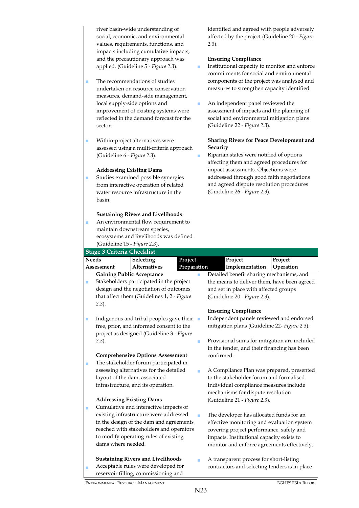river basin-wide understanding of social, economic, and environmental values, requirements, functions, and impacts including cumulative impacts, and the precautionary approach was applied. (Guideline 5 - *Figure 2.3*).

- The recommendations of studies undertaken on resource conservation measures, demand-side management, local supply-side options and improvement of existing systems were reflected in the demand forecast for the sector.
- Within-project alternatives were assessed using a multi-criteria approach (Guideline 6 - *Figure 2.3*).

#### **Addressing Existing Dams**

■ Studies examined possible synergies from interactive operation of related water resource infrastructure in the basin.

#### **Sustaining Rivers and Livelihoods**

■ An environmental flow requirement to maintain downstream species, ecosystems and livelihoods was defined (Guideline 15 - *Figure 2.3*).

identified and agreed with people adversely affected by the project (Guideline 20 - *Figure 2.3*).

#### **Ensuring Compliance**

- Institutional capacity to monitor and enforce commitments for social and environmental components of the project was analysed and measures to strengthen capacity identified.
- An independent panel reviewed the assessment of impacts and the planning of social and environmental mitigation plans (Guideline 22 - *Figure 2.3*).

#### **Sharing Rivers for Peace Development and Security**

Riparian states were notified of options affecting them and agreed procedures for impact assessments. Objections were addressed through good faith negotiations and agreed dispute resolution procedures (Guideline 26 - *Figure 2.3*).

| $\cdots$     |                                   |                                            |             |            |                                               |                                              |
|--------------|-----------------------------------|--------------------------------------------|-------------|------------|-----------------------------------------------|----------------------------------------------|
|              | <b>Stage 3 Criteria Checklist</b> |                                            |             |            |                                               |                                              |
| <b>Needs</b> |                                   | Selecting                                  | Project     |            | Project                                       | Project                                      |
|              | Assessment                        | <b>Alternatives</b>                        | Preparation |            | Implementation                                | Operation                                    |
|              | <b>Gaining Public Acceptance</b>  |                                            |             |            | Detailed benefit sharing mechanisms, and      |                                              |
|              |                                   | Stakeholders participated in the project   |             |            |                                               | the means to deliver them, have been agreed  |
|              |                                   | design and the negotiation of outcomes     |             |            | and set in place with affected groups         |                                              |
|              |                                   | that affect them (Guidelines 1, 2 - Figure |             |            | (Guideline 20 - Figure 2.3).                  |                                              |
|              | $2.3$ ).                          |                                            |             |            |                                               |                                              |
|              |                                   |                                            |             |            | <b>Ensuring Compliance</b>                    |                                              |
|              |                                   | Indigenous and tribal peoples gave their   |             |            | Independent panels reviewed and endorsed      |                                              |
|              |                                   | free, prior, and informed consent to the   |             |            | mitigation plans (Guideline 22- Figure 2.3).  |                                              |
|              |                                   | project as designed (Guideline 3 - Figure  |             |            |                                               |                                              |
|              | $2.3$ ).                          |                                            | п           |            |                                               | Provisional sums for mitigation are included |
|              |                                   |                                            |             |            | in the tender, and their financing has been   |                                              |
|              |                                   | <b>Comprehensive Options Assessment</b>    |             | confirmed. |                                               |                                              |
|              |                                   | The stakeholder forum participated in      |             |            |                                               |                                              |
|              |                                   | assessing alternatives for the detailed    |             |            |                                               | A Compliance Plan was prepared, presented    |
|              |                                   | layout of the dam, associated              |             |            | to the stakeholder forum and formalised.      |                                              |
|              |                                   | infrastructure, and its operation.         |             |            | Individual compliance measures include        |                                              |
|              |                                   |                                            |             |            | mechanisms for dispute resolution             |                                              |
|              | <b>Addressing Existing Dams</b>   |                                            |             |            | (Guideline 21 - Figure 2.3).                  |                                              |
|              |                                   | Cumulative and interactive impacts of      |             |            |                                               |                                              |
|              |                                   | existing infrastructure were addressed     |             |            | The developer has allocated funds for an      |                                              |
|              |                                   | in the design of the dam and agreements    |             |            | effective monitoring and evaluation system    |                                              |
|              |                                   | reached with stakeholders and operators    |             |            | covering project performance, safety and      |                                              |
|              |                                   | to modify operating rules of existing      |             |            | impacts. Institutional capacity exists to     |                                              |
|              | dams where needed.                |                                            |             |            | monitor and enforce agreements effectively.   |                                              |
|              |                                   |                                            |             |            |                                               |                                              |
|              |                                   | <b>Sustaining Rivers and Livelihoods</b>   |             |            | A transparent process for short-listing       |                                              |
|              |                                   | Acceptable rules were developed for        |             |            | contractors and selecting tenders is in place |                                              |
|              |                                   | reservoir filling, commissioning and       |             |            |                                               |                                              |

■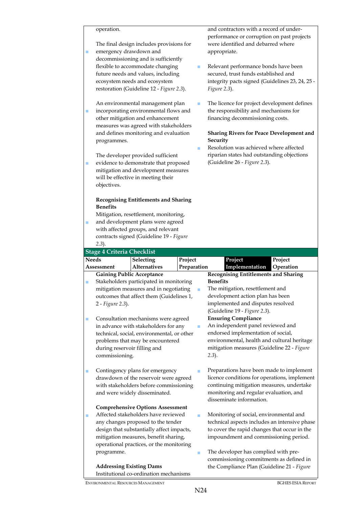#### operation.

The final design includes provisions for emergency drawdown and

■ decommissioning and is sufficiently flexible to accommodate changing future needs and values, including ecosystem needs and ecosystem restoration (Guideline 12 - *Figure 2.3*).

An environmental management plan

■ incorporating environmental flows and other mitigation and enhancement measures was agreed with stakeholders and defines monitoring and evaluation programmes.

The developer provided sufficient

■ evidence to demonstrate that proposed mitigation and development measures will be effective in meeting their objectives.

#### **Recognising Entitlements and Sharing Benefits**

Mitigation, resettlement, monitoring, and development plans were agreed

■

with affected groups, and relevant contracts signed (Guideline 19 - *Figure 2.3*).

and contractors with a record of underperformance or corruption on past projects were identified and debarred where appropriate.

- Relevant performance bonds have been secured, trust funds established and integrity pacts signed (Guidelines 23, 24, 25 - *Figure 2.3*).
- The licence for project development defines the responsibility and mechanisms for financing decommissioning costs.

#### **Sharing Rivers for Peace Development and Security**

■ Resolution was achieved where affected riparian states had outstanding objections (Guideline 26 - *Figure 2.3*).

|              | <b>Stage 4 Criteria Checklist</b> |                                            |             |                                               |           |
|--------------|-----------------------------------|--------------------------------------------|-------------|-----------------------------------------------|-----------|
| <b>Needs</b> |                                   | Selecting                                  | Project     | Project                                       | Project   |
|              | Assessment                        | <b>Alternatives</b>                        | Preparation | Implementation                                | Operation |
|              | <b>Gaining Public Acceptance</b>  |                                            |             | <b>Recognising Entitlements and Sharing</b>   |           |
|              |                                   | Stakeholders participated in monitoring    |             | <b>Benefits</b>                               |           |
|              |                                   | mitigation measures and in negotiating     |             | The mitigation, resettlement and              |           |
|              |                                   | outcomes that affect them (Guidelines 1,   |             | development action plan has been              |           |
|              | 2 - Figure 2.3).                  |                                            |             | implemented and disputes resolved             |           |
|              |                                   |                                            |             | (Guideline 19 - Figure 2.3).                  |           |
| ш            |                                   | Consultation mechanisms were agreed        |             | <b>Ensuring Compliance</b>                    |           |
|              |                                   | in advance with stakeholders for any       |             | An independent panel reviewed and             |           |
|              |                                   | technical, social, environmental, or other |             | endorsed implementation of social,            |           |
|              |                                   | problems that may be encountered           |             | environmental, health and cultural heritage   |           |
|              | during reservoir filling and      |                                            |             | mitigation measures (Guideline 22 - Figure    |           |
|              | commissioning.                    |                                            |             | $2.3$ ).                                      |           |
|              |                                   |                                            |             |                                               |           |
|              |                                   | Contingency plans for emergency            |             | Preparations have been made to implement      |           |
|              |                                   | drawdown of the reservoir were agreed      |             | licence conditions for operations, implement  |           |
|              |                                   | with stakeholders before commissioning     |             | continuing mitigation measures, undertake     |           |
|              |                                   | and were widely disseminated.              |             | monitoring and regular evaluation, and        |           |
|              |                                   |                                            |             | disseminate information.                      |           |
|              |                                   | <b>Comprehensive Options Assessment</b>    |             |                                               |           |
| П            |                                   | Affected stakeholders have reviewed        |             | Monitoring of social, environmental and       |           |
|              |                                   | any changes proposed to the tender         |             | technical aspects includes an intensive phase |           |
|              |                                   | design that substantially affect impacts,  |             | to cover the rapid changes that occur in the  |           |
|              |                                   | mitigation measures, benefit sharing,      |             | impoundment and commissioning period.         |           |
|              |                                   | operational practices, or the monitoring   |             |                                               |           |
|              | programme.                        |                                            | п           | The developer has complied with pre-          |           |
|              |                                   |                                            |             | commissioning commitments as defined in       |           |
|              | <b>Addressing Existing Dams</b>   |                                            |             | the Compliance Plan (Guideline 21 - Figure    |           |
|              |                                   | Institutional co-ordination mechanisms     |             |                                               |           |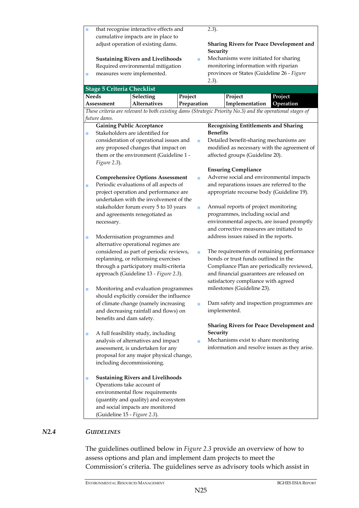|          |                                   | that recognise interactive effects and   |             | $2.3$ ).                                                                                                  |
|----------|-----------------------------------|------------------------------------------|-------------|-----------------------------------------------------------------------------------------------------------|
|          |                                   | cumulative impacts are in place to       |             |                                                                                                           |
|          |                                   | adjust operation of existing dams.       |             | <b>Sharing Rivers for Peace Development and</b><br>Security                                               |
|          |                                   | <b>Sustaining Rivers and Livelihoods</b> |             | Mechanisms were initiated for sharing                                                                     |
|          |                                   | Required environmental mitigation        |             | monitoring information with riparian                                                                      |
|          |                                   | measures were implemented.               |             | provinces or States (Guideline 26 - Figure<br>$2.3$ ).                                                    |
|          | <b>Stage 5 Criteria Checklist</b> |                                          |             |                                                                                                           |
|          | <b>Needs</b>                      | Selecting                                | Project     | Project<br>Project                                                                                        |
|          | Assessment                        | <b>Alternatives</b>                      | Preparation | Operation<br>Implementation                                                                               |
|          | future dams.                      |                                          |             | These criteria are relevant to both existing dams (Strategic Priority No.3) and the operational stages of |
|          |                                   | <b>Gaining Public Acceptance</b>         |             | <b>Recognising Entitlements and Sharing</b>                                                               |
| п        |                                   | Stakeholders are identified for          |             | <b>Benefits</b>                                                                                           |
|          |                                   | consideration of operational issues and  |             | Detailed benefit-sharing mechanisms are                                                                   |
|          |                                   | any proposed changes that impact on      |             | modified as necessary with the agreement of                                                               |
|          |                                   | them or the environment (Guideline 1 -   |             | affected groups (Guideline 20).                                                                           |
|          | Figure 2.3).                      |                                          |             | <b>Ensuring Compliance</b>                                                                                |
|          |                                   | <b>Comprehensive Options Assessment</b>  |             | Adverse social and environmental impacts                                                                  |
| <b>I</b> |                                   | Periodic evaluations of all aspects of   |             | and reparations issues are referred to the                                                                |
|          |                                   | project operation and performance are    |             | appropriate recourse body (Guideline 19).                                                                 |
|          |                                   | undertaken with the involvement of the   |             |                                                                                                           |
|          |                                   | stakeholder forum every 5 to 10 years    |             | Annual reports of project monitoring                                                                      |
|          |                                   | and agreements renegotiated as           |             | programmes, including social and                                                                          |
|          | necessary.                        |                                          |             | environmental aspects, are issued promptly                                                                |
|          |                                   |                                          |             | and corrective measures are initiated to                                                                  |
|          |                                   | Modernisation programmes and             |             | address issues raised in the reports.                                                                     |
|          |                                   | alternative operational regimes are      |             |                                                                                                           |
|          |                                   | considered as part of periodic reviews,  |             | The requirements of remaining performance                                                                 |
|          |                                   | replanning, or relicensing exercises     |             | bonds or trust funds outlined in the                                                                      |
|          |                                   | through a participatory multi-criteria   |             | Compliance Plan are periodically reviewed,                                                                |
|          |                                   | approach (Guideline 13 - Figure 2.3).    |             | and financial guarantees are released on                                                                  |
|          |                                   | Monitoring and evaluation programmes     |             | satisfactory compliance with agreed<br>milestones (Guideline 23).                                         |
|          |                                   | should explicitly consider the influence |             |                                                                                                           |
|          |                                   | of climate change (namely increasing     |             | Dam safety and inspection programmes are                                                                  |
|          |                                   | and decreasing rainfall and flows) on    |             | implemented.                                                                                              |
|          | benefits and dam safety.          |                                          |             |                                                                                                           |
|          |                                   |                                          |             | <b>Sharing Rivers for Peace Development and</b>                                                           |
|          |                                   | A full feasibility study, including      |             | Security                                                                                                  |
|          |                                   | analysis of alternatives and impact      |             | Mechanisms exist to share monitoring                                                                      |
|          |                                   | assessment, is undertaken for any        |             | information and resolve issues as they arise.                                                             |
|          |                                   | proposal for any major physical change,  |             |                                                                                                           |
|          |                                   | including decommissioning.               |             |                                                                                                           |
|          |                                   | <b>Sustaining Rivers and Livelihoods</b> |             |                                                                                                           |
|          | Operations take account of        |                                          |             |                                                                                                           |
|          |                                   | environmental flow requirements          |             |                                                                                                           |
|          |                                   | (quantity and quality) and ecosystem     |             |                                                                                                           |
|          |                                   | and social impacts are monitored         |             |                                                                                                           |
|          | (Guideline 15 - Figure 2.3).      |                                          |             |                                                                                                           |

# *N2.4 GUIDELINES*

The guidelines outlined below in *Figure 2.3* provide an overview of how to assess options and plan and implement dam projects to meet the Commission's criteria. The guidelines serve as advisory tools which assist in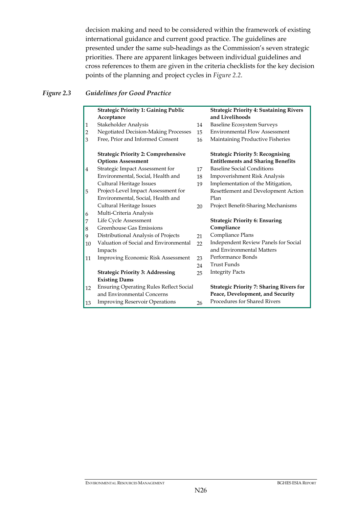decision making and need to be considered within the framework of existing international guidance and current good practice. The guidelines are presented under the same sub-headings as the Commission's seven strategic priorities. There are apparent linkages between individual guidelines and cross references to them are given in the criteria checklists for the key decision points of the planning and project cycles in *Figure 2.2*.

## *Figure 2.3 Guidelines for Good Practice*

|                | <b>Strategic Priority 1: Gaining Public</b>    |    | <b>Strategic Priority 4: Sustaining Rivers</b>  |
|----------------|------------------------------------------------|----|-------------------------------------------------|
|                | Acceptance                                     |    | and Livelihoods                                 |
| $\mathbf{1}$   | Stakeholder Analysis                           | 14 | <b>Baseline Ecosystem Surveys</b>               |
| 2              | <b>Negotiated Decision-Making Processes</b>    | 15 | <b>Environmental Flow Assessment</b>            |
| 3              | Free, Prior and Informed Consent               | 16 | Maintaining Productive Fisheries                |
|                | <b>Strategic Priority 2: Comprehensive</b>     |    | <b>Strategic Priority 5: Recognising</b>        |
|                | <b>Options Assessment</b>                      |    | <b>Entitlements and Sharing Benefits</b>        |
| $\overline{4}$ | Strategic Impact Assessment for                | 17 | <b>Baseline Social Conditions</b>               |
|                | Environmental, Social, Health and              | 18 | Impoverishment Risk Analysis                    |
|                | <b>Cultural Heritage Issues</b>                | 19 | Implementation of the Mitigation,               |
| 5              | Project-Level Impact Assessment for            |    | Resettlement and Development Action             |
|                | Environmental, Social, Health and              |    | Plan                                            |
|                | <b>Cultural Heritage Issues</b>                | 20 | Project Benefit-Sharing Mechanisms              |
| 6              | Multi-Criteria Analysis                        |    |                                                 |
| 7              | Life Cycle Assessment                          |    | <b>Strategic Priority 6: Ensuring</b>           |
| 8              | <b>Greenhouse Gas Emissions</b>                |    | Compliance                                      |
| 9              | Distributional Analysis of Projects            | 21 | Compliance Plans                                |
| 10             | Valuation of Social and Environmental          | 22 | Independent Review Panels for Social            |
|                | Impacts                                        |    | and Environmental Matters                       |
| 11             | <b>Improving Economic Risk Assessment</b>      | 23 | Performance Bonds                               |
|                |                                                | 24 | <b>Trust Funds</b>                              |
|                | <b>Strategic Priority 3: Addressing</b>        | 25 | <b>Integrity Pacts</b>                          |
|                | <b>Existing Dams</b>                           |    |                                                 |
| 12             | <b>Ensuring Operating Rules Reflect Social</b> |    | <b>Strategic Priority 7: Sharing Rivers for</b> |
|                | and Environmental Concerns                     |    | Peace, Development, and Security                |
| 13             | <b>Improving Reservoir Operations</b>          | 26 | <b>Procedures for Shared Rivers</b>             |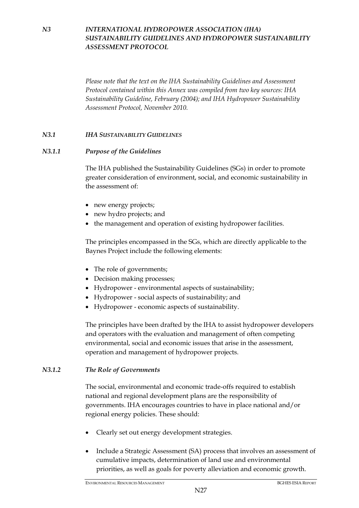## *N3 INTERNATIONAL HYDROPOWER ASSOCIATION (IHA) SUSTAINABILITY GUIDELINES AND HYDROPOWER SUSTAINABILITY ASSESSMENT PROTOCOL*

*Please note that the text on the IHA Sustainability Guidelines and Assessment Protocol contained within this Annex was compiled from two key sources: IHA Sustainability Guideline, February (2004); and IHA Hydropower Sustainability Assessment Protocol, November 2010.* 

## *N3.1 IHA SUSTAINABILITY GUIDELINES*

#### *N3.1.1 Purpose of the Guidelines*

The IHA published the Sustainability Guidelines (SGs) in order to promote greater consideration of environment, social, and economic sustainability in the assessment of:

- new energy projects;
- new hydro projects; and
- the management and operation of existing hydropower facilities.

The principles encompassed in the SGs, which are directly applicable to the Baynes Project include the following elements:

- The role of governments;
- Decision making processes;
- Hydropower environmental aspects of sustainability;
- Hydropower social aspects of sustainability; and
- Hydropower economic aspects of sustainability.

The principles have been drafted by the IHA to assist hydropower developers and operators with the evaluation and management of often competing environmental, social and economic issues that arise in the assessment, operation and management of hydropower projects.

#### *N3.1.2 The Role of Governments*

The social, environmental and economic trade-offs required to establish national and regional development plans are the responsibility of governments. IHA encourages countries to have in place national and/or regional energy policies. These should:

- Clearly set out energy development strategies.
- Include a Strategic Assessment (SA) process that involves an assessment of cumulative impacts, determination of land use and environmental priorities, as well as goals for poverty alleviation and economic growth.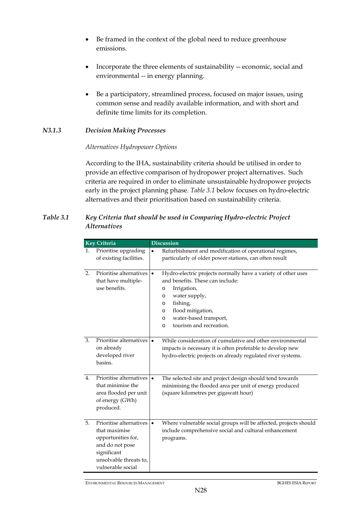- Be framed in the context of the global need to reduce greenhouse emissions.
- Incorporate the three elements of sustainability -- economic, social and environmental -- in energy planning.
- Be a participatory, streamlined process, focused on major issues, using common sense and readily available information, and with short and definite time limits for its completion.

#### *N3.1.3 Decision Making Processes*

#### *Alternatives Hydropower Options*

According to the IHA, sustainability criteria should be utilised in order to provide an effective comparison of hydropower project alternatives. Such criteria are required in order to eliminate unsustainable hydropower projects early in the project planning phase. *Table 3.1* below focuses on hydro-electric alternatives and their prioritisation based on sustainability criteria.

## *Table 3.1 Key Criteria that should be used in Comparing Hydro-electric Project Alternatives*

|    | <b>Key Criteria</b>                                                                                                                             | <b>Discussion</b>                                                                                                                                                                                                                                                              |
|----|-------------------------------------------------------------------------------------------------------------------------------------------------|--------------------------------------------------------------------------------------------------------------------------------------------------------------------------------------------------------------------------------------------------------------------------------|
| 1. | Prioritise upgrading<br>of existing facilities.                                                                                                 | Refurbishment and modification of operational regimes,<br>$\bullet$<br>particularly of older power stations, can often result                                                                                                                                                  |
| 2. | Prioritise alternatives<br>that have multiple-<br>use benefits.                                                                                 | Hydro-electric projects normally have a variety of other uses<br>$\bullet$<br>and benefits. These can include:<br>Irrigation,<br>O<br>water supply,<br>O<br>fishing,<br>$\circ$<br>flood mitigation,<br>O<br>water-based transport,<br>O<br>tourism and recreation.<br>$\circ$ |
| 3. | Prioritise alternatives<br>on already<br>developed river<br>basins.                                                                             | While consideration of cumulative and other environmental<br>impacts is necessary it is often preferable to develop new<br>hydro-electric projects on already regulated river systems.                                                                                         |
| 4. | Prioritise alternatives<br>that minimise the<br>area flooded per unit<br>of energy (GWh)<br>produced.                                           | The selected site and project design should tend towards<br>$\bullet$<br>minimising the flooded area per unit of energy produced<br>(square kilometres per gigawatt hour)                                                                                                      |
| 5. | Prioritise alternatives<br>that maximise<br>opportunities for,<br>and do not pose<br>significant<br>unsolvable threats to,<br>vulnerable social | Where vulnerable social groups will be affected, projects should<br>$\bullet$<br>include comprehensive social and cultural enhancement<br>programs.                                                                                                                            |

ENVIRONMENTAL RESOURCES MANAGEMENT BGHES ESIA REPORT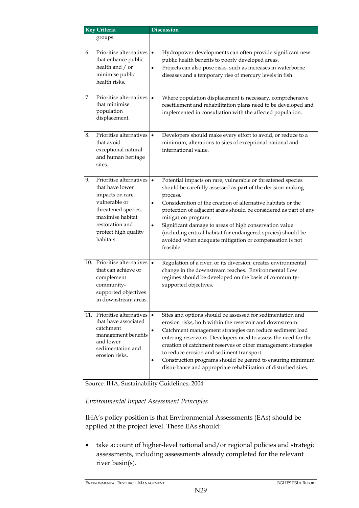|    | <b>Key Criteria</b>                                                                                                                                                                | <b>Discussion</b>                                                                                                                                                                                                                                                                                                                                                                                                                                                                                                                           |
|----|------------------------------------------------------------------------------------------------------------------------------------------------------------------------------------|---------------------------------------------------------------------------------------------------------------------------------------------------------------------------------------------------------------------------------------------------------------------------------------------------------------------------------------------------------------------------------------------------------------------------------------------------------------------------------------------------------------------------------------------|
|    | groups.                                                                                                                                                                            |                                                                                                                                                                                                                                                                                                                                                                                                                                                                                                                                             |
| 6. | Prioritise alternatives<br>that enhance public<br>health and / or<br>minimise public<br>health risks.                                                                              | Hydropower developments can often provide significant new<br>public health benefits to poorly developed areas.<br>Projects can also pose risks, such as increases in waterborne<br>$\bullet$<br>diseases and a temporary rise of mercury levels in fish.                                                                                                                                                                                                                                                                                    |
| 7. | Prioritise alternatives<br>that minimise<br>population<br>displacement.                                                                                                            | Where population displacement is necessary, comprehensive<br>$\bullet$<br>resettlement and rehabilitation plans need to be developed and<br>implemented in consultation with the affected population.                                                                                                                                                                                                                                                                                                                                       |
| 8. | Prioritise alternatives<br>that avoid<br>exceptional natural<br>and human heritage<br>sites.                                                                                       | Developers should make every effort to avoid, or reduce to a<br>minimum, alterations to sites of exceptional national and<br>international value.                                                                                                                                                                                                                                                                                                                                                                                           |
| 9. | Prioritise alternatives<br>that have lower<br>impacts on rare,<br>vulnerable or<br>threatened species,<br>maximise habitat<br>restoration and<br>protect high quality<br>habitats. | $\bullet$<br>Potential impacts on rare, vulnerable or threatened species<br>should be carefully assessed as part of the decision-making<br>process.<br>Consideration of the creation of alternative habitats or the<br>$\bullet$<br>protection of adjacent areas should be considered as part of any<br>mitigation program.<br>Significant damage to areas of high conservation value<br>$\bullet$<br>(including critical habitat for endangered species) should be<br>avoided when adequate mitigation or compensation is not<br>feasible. |
|    | 10. Prioritise alternatives $\cdot$<br>that can achieve or<br>complement<br>community-<br>supported objectives<br>in downstream areas.                                             | Regulation of a river, or its diversion, creates environmental<br>change in the downstream reaches. Environmental flow<br>regimes should be developed on the basis of community-<br>supported objectives.                                                                                                                                                                                                                                                                                                                                   |
|    | 11. Prioritise alternatives<br>that have associated<br>catchment<br>management benefits<br>and lower<br>sedimentation and<br>erosion risks.                                        | $\bullet$<br>Sites and options should be assessed for sedimentation and<br>erosion risks, both within the reservoir and downstream.<br>Catchment management strategies can reduce sediment load<br>$\bullet$<br>entering reservoirs. Developers need to assess the need for the<br>creation of catchment reserves or other management strategies<br>to reduce erosion and sediment transport.<br>Construction programs should be geared to ensuring minimum<br>$\bullet$<br>disturbance and appropriate rehabilitation of disturbed sites.  |

Source: IHA, Sustainability Guidelines, 2004

*Environmental Impact Assessment Principles* 

IHA's policy position is that Environmental Assessments (EAs) should be applied at the project level. These EAs should:

 take account of higher-level national and/or regional policies and strategic assessments, including assessments already completed for the relevant river basin(s).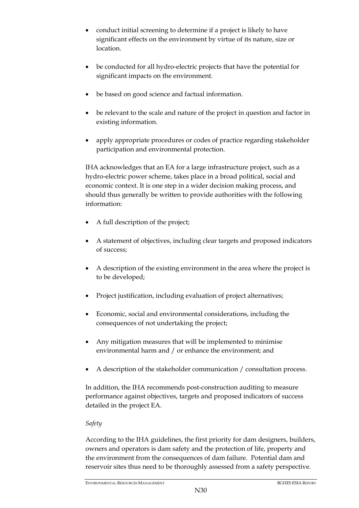- conduct initial screening to determine if a project is likely to have significant effects on the environment by virtue of its nature, size or location.
- be conducted for all hydro-electric projects that have the potential for significant impacts on the environment.
- be based on good science and factual information.
- be relevant to the scale and nature of the project in question and factor in existing information.
- apply appropriate procedures or codes of practice regarding stakeholder participation and environmental protection.

IHA acknowledges that an EA for a large infrastructure project, such as a hydro-electric power scheme, takes place in a broad political, social and economic context. It is one step in a wider decision making process, and should thus generally be written to provide authorities with the following information:

- A full description of the project;
- A statement of objectives, including clear targets and proposed indicators of success;
- A description of the existing environment in the area where the project is to be developed;
- Project justification, including evaluation of project alternatives;
- Economic, social and environmental considerations, including the consequences of not undertaking the project;
- Any mitigation measures that will be implemented to minimise environmental harm and / or enhance the environment; and
- A description of the stakeholder communication / consultation process.

In addition, the IHA recommends post-construction auditing to measure performance against objectives, targets and proposed indicators of success detailed in the project EA.

## *Safety*

According to the IHA guidelines, the first priority for dam designers, builders, owners and operators is dam safety and the protection of life, property and the environment from the consequences of dam failure. Potential dam and reservoir sites thus need to be thoroughly assessed from a safety perspective.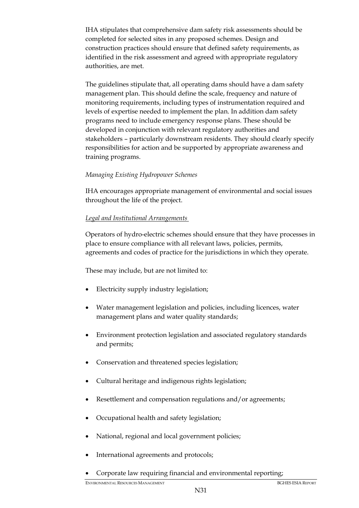IHA stipulates that comprehensive dam safety risk assessments should be completed for selected sites in any proposed schemes. Design and construction practices should ensure that defined safety requirements, as identified in the risk assessment and agreed with appropriate regulatory authorities, are met.

The guidelines stipulate that, all operating dams should have a dam safety management plan. This should define the scale, frequency and nature of monitoring requirements, including types of instrumentation required and levels of expertise needed to implement the plan. In addition dam safety programs need to include emergency response plans. These should be developed in conjunction with relevant regulatory authorities and stakeholders – particularly downstream residents. They should clearly specify responsibilities for action and be supported by appropriate awareness and training programs.

#### *Managing Existing Hydropower Schemes*

IHA encourages appropriate management of environmental and social issues throughout the life of the project.

### *Legal and Institutional Arrangements*

Operators of hydro-electric schemes should ensure that they have processes in place to ensure compliance with all relevant laws, policies, permits, agreements and codes of practice for the jurisdictions in which they operate.

These may include, but are not limited to:

- Electricity supply industry legislation;
- Water management legislation and policies, including licences, water management plans and water quality standards;
- Environment protection legislation and associated regulatory standards and permits;
- Conservation and threatened species legislation;
- Cultural heritage and indigenous rights legislation;
- Resettlement and compensation regulations and/or agreements;
- Occupational health and safety legislation;
- National, regional and local government policies;
- International agreements and protocols;
- Corporate law requiring financial and environmental reporting;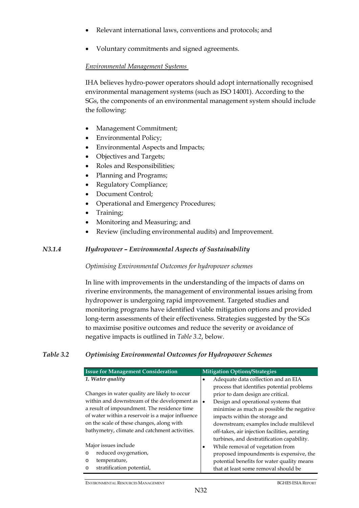- Relevant international laws, conventions and protocols; and
- Voluntary commitments and signed agreements.

#### *Environmental Management Systems*

IHA believes hydro-power operators should adopt internationally recognised environmental management systems (such as ISO 14001). According to the SGs, the components of an environmental management system should include the following:

- Management Commitment;
- Environmental Policy;
- Environmental Aspects and Impacts;
- Objectives and Targets;
- Roles and Responsibilities;
- Planning and Programs;
- Regulatory Compliance;
- Document Control;
- Operational and Emergency Procedures;
- Training;
- Monitoring and Measuring; and
- Review (including environmental audits) and Improvement.

#### *N3.1.4 Hydropower – Environmental Aspects of Sustainability*

*Optimising Environmental Outcomes for hydropower schemes* 

In line with improvements in the understanding of the impacts of dams on riverine environments, the management of environmental issues arising from hydropower is undergoing rapid improvement. Targeted studies and monitoring programs have identified viable mitigation options and provided long-term assessments of their effectiveness. Strategies suggested by the SGs to maximise positive outcomes and reduce the severity or avoidance of negative impacts is outlined in *Table 3.2*, below*.* 

## *Table 3.2 Optimising Environmental Outcomes for Hydropower Schemes*

| <b>Issue for Management Consideration</b>        | <b>Mitigation Options/Strategies</b>             |
|--------------------------------------------------|--------------------------------------------------|
| 1. Water quality                                 | Adequate data collection and an EIA<br>$\bullet$ |
|                                                  | process that identifies potential problems       |
| Changes in water quality are likely to occur     | prior to dam design are critical.                |
| within and downstream of the development as      | Design and operational systems that<br>$\bullet$ |
| a result of impoundment. The residence time      | minimise as much as possible the negative        |
| of water within a reservoir is a major influence | impacts within the storage and                   |
| on the scale of these changes, along with        | downstream; examples include multilevel          |
| bathymetry, climate and catchment activities.    | off-takes, air injection facilities, aerating    |
|                                                  | turbines, and destratification capability.       |
| Major issues include                             | While removal of vegetation from                 |
| reduced oxygenation,<br>$\Omega$                 | proposed impoundments is expensive, the          |
| temperature,<br>$\Omega$                         | potential benefits for water quality means       |
| stratification potential,<br>$\Omega$            | that at least some removal should be             |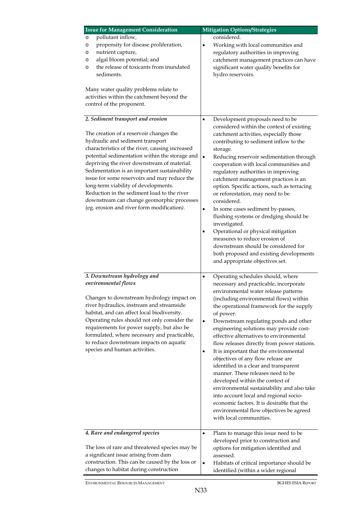| <b>Issue for Management Consideration</b>                                                                                                                                                                                                                                                                                                                                                                                                                                                                                                               | <b>Mitigation Options/Strategies</b>                                                                                                                                                                                                                                                                                                                                                                                                                                                                                                                                                                                                                                                                                                                                                                                                                                        |
|---------------------------------------------------------------------------------------------------------------------------------------------------------------------------------------------------------------------------------------------------------------------------------------------------------------------------------------------------------------------------------------------------------------------------------------------------------------------------------------------------------------------------------------------------------|-----------------------------------------------------------------------------------------------------------------------------------------------------------------------------------------------------------------------------------------------------------------------------------------------------------------------------------------------------------------------------------------------------------------------------------------------------------------------------------------------------------------------------------------------------------------------------------------------------------------------------------------------------------------------------------------------------------------------------------------------------------------------------------------------------------------------------------------------------------------------------|
| pollutant inflow,<br>O<br>propensity for disease proliferation,<br>O<br>nutrient capture,<br>O<br>algal bloom potential; and<br>O<br>the release of toxicants from inundated<br>O<br>sediments.<br>Many water quality problems relate to<br>activities within the catchment beyond the<br>control of the proponent.                                                                                                                                                                                                                                     | considered.<br>Working with local communities and<br>$\bullet$<br>regulatory authorities in improving<br>catchment management practices can have<br>significant water quality benefits for<br>hydro reservoirs.                                                                                                                                                                                                                                                                                                                                                                                                                                                                                                                                                                                                                                                             |
| 2. Sediment transport and erosion<br>The creation of a reservoir changes the<br>hydraulic and sediment transport<br>characteristics of the river, causing increased<br>potential sedimentation within the storage and<br>depriving the river downstream of material.<br>Sedimentation is an important sustainability<br>issue for some reservoirs and may reduce the<br>long-term viability of developments.<br>Reduction in the sediment load to the river<br>downstream can change geomorphic processes<br>(eg. erosion and river form modification). | Development proposals need to be<br>٠<br>considered within the context of existing<br>catchment activities, especially those<br>contributing to sediment inflow to the<br>storage.<br>Reducing reservoir sedimentation through<br>$\bullet$<br>cooperation with local communities and<br>regulatory authorities in improving<br>catchment management practices is an<br>option. Specific actions, such as terracing<br>or reforestation, may need to be<br>considered.<br>In some cases sediment by-passes,<br>٠<br>flushing systems or dredging should be<br>investigated.<br>Operational or physical mitigation<br>measures to reduce erosion of<br>downstream should be considered for<br>both proposed and existing developments                                                                                                                                        |
| 3. Downstream hydrology and<br>environmental flows<br>Changes to downstream hydrology impact on<br>river hydraulics, instream and streamside<br>habitat, and can affect local biodiversity.<br>Operating rules should not only consider the<br>requirements for power supply, but also be<br>formulated, where necessary and practicable,<br>to reduce downstream impacts on aquatic<br>species and human activities.                                                                                                                                   | and appropriate objectives set.<br>Operating schedules should, where<br>٠<br>necessary and practicable, incorporate<br>environmental water release patterns<br>(including environmental flows) within<br>the operational framework for the supply<br>of power.<br>Downstream regulating ponds and other<br>$\bullet$<br>engineering solutions may provide cost-<br>effective alternatives to environmental<br>flow releases directly from power stations.<br>It is important that the environmental<br>٠<br>objectives of any flow release are<br>identified in a clear and transparent<br>manner. These releases need to be<br>developed within the context of<br>environmental sustainability and also take<br>into account local and regional socio-<br>economic factors. It is desirable that the<br>environmental flow objectives be agreed<br>with local communities. |
| 4. Rare and endangered species<br>The loss of rare and threatened species may be<br>a significant issue arising from dam<br>construction. This can be caused by the loss or<br>changes to habitat during construction                                                                                                                                                                                                                                                                                                                                   | Plans to manage this issue need to be<br>٠<br>developed prior to construction and<br>options for mitigation identified and<br>assessed.<br>$\bullet$<br>Habitats of critical importance should be<br>identified (within a wider regional                                                                                                                                                                                                                                                                                                                                                                                                                                                                                                                                                                                                                                    |

**ENVIRONMENTAL RESOURCES MANAGEMENT** BGHES ESIA REPORT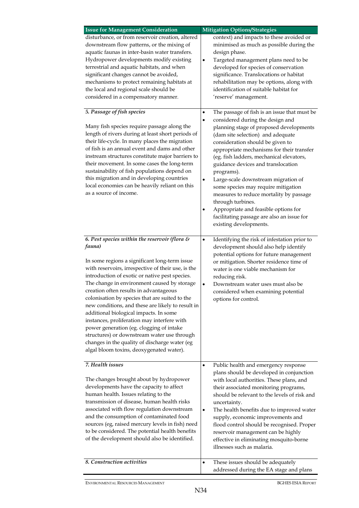| <b>Issue for Management Consideration</b>                                                                                                                                                                                                                                                                                                                                                                                                                                                                                                                                                                                                                                                                    | <b>Mitigation Options/Strategies</b>                                                                                                                                                                                                                                                                                                                                                                                                                                                                                                                                      |
|--------------------------------------------------------------------------------------------------------------------------------------------------------------------------------------------------------------------------------------------------------------------------------------------------------------------------------------------------------------------------------------------------------------------------------------------------------------------------------------------------------------------------------------------------------------------------------------------------------------------------------------------------------------------------------------------------------------|---------------------------------------------------------------------------------------------------------------------------------------------------------------------------------------------------------------------------------------------------------------------------------------------------------------------------------------------------------------------------------------------------------------------------------------------------------------------------------------------------------------------------------------------------------------------------|
| disturbance, or from reservoir creation, altered<br>downstream flow patterns, or the mixing of<br>aquatic faunas in inter-basin water transfers.<br>Hydropower developments modify existing<br>terrestrial and aquatic habitats, and when<br>significant changes cannot be avoided,<br>mechanisms to protect remaining habitats at<br>the local and regional scale should be<br>considered in a compensatory manner.<br>5. Passage of fish species                                                                                                                                                                                                                                                           | context) and impacts to these avoided or<br>minimised as much as possible during the<br>design phase.<br>Targeted management plans need to be<br>developed for species of conservation<br>significance. Translocations or habitat<br>rehabilitation may be options, along with<br>identification of suitable habitat for<br>'reserve' management.<br>The passage of fish is an issue that must be                                                                                                                                                                         |
| Many fish species require passage along the<br>length of rivers during at least short periods of<br>their life-cycle. In many places the migration<br>of fish is an annual event and dams and other<br>instream structures constitute major barriers to<br>their movement. In some cases the long-term<br>sustainability of fish populations depend on<br>this migration and in developing countries<br>local economies can be heavily reliant on this<br>as a source of income.                                                                                                                                                                                                                             | considered during the design and<br>٠<br>planning stage of proposed developments<br>(dam site selection) and adequate<br>consideration should be given to<br>appropriate mechanisms for their transfer<br>(eg. fish ladders, mechanical elevators,<br>guidance devices and translocation<br>programs).<br>Large-scale downstream migration of<br>٠<br>some species may require mitigation<br>measures to reduce mortality by passage<br>through turbines.<br>Appropriate and feasible options for<br>facilitating passage are also an issue for<br>existing developments. |
| 6. Pest species within the reservoir (flora $\mathcal S$<br>fauna)<br>In some regions a significant long-term issue<br>with reservoirs, irrespective of their use, is the<br>introduction of exotic or native pest species.<br>The change in environment caused by storage<br>creation often results in advantageous<br>colonisation by species that are suited to the<br>new conditions, and these are likely to result in<br>additional biological impacts. In some<br>instances, proliferation may interfere with<br>power generation (eg. clogging of intake<br>structures) or downstream water use through<br>changes in the quality of discharge water (eg<br>algal bloom toxins, deoxygenated water). | Identifying the risk of infestation prior to<br>٠<br>development should also help identify<br>potential options for future management<br>or mitigation. Shorter residence time of<br>water is one viable mechanism for<br>reducing risk.<br>Downstream water uses must also be<br>$\bullet$<br>considered when examining potential<br>options for control.                                                                                                                                                                                                                |
| 7. Health issues<br>The changes brought about by hydropower<br>developments have the capacity to affect<br>human health. Issues relating to the<br>transmission of disease, human health risks<br>associated with flow regulation downstream<br>and the consumption of contaminated food<br>sources (eg, raised mercury levels in fish) need<br>to be considered. The potential health benefits<br>of the development should also be identified.                                                                                                                                                                                                                                                             | Public health and emergency response<br>$\bullet$<br>plans should be developed in conjunction<br>with local authorities. These plans, and<br>their associated monitoring programs,<br>should be relevant to the levels of risk and<br>uncertainty.<br>The health benefits due to improved water<br>٠<br>supply, economic improvements and<br>flood control should be recognised. Proper<br>reservoir management can be highly<br>effective in eliminating mosquito-borne<br>illnesses such as malaria.                                                                    |
| 8. Construction activities                                                                                                                                                                                                                                                                                                                                                                                                                                                                                                                                                                                                                                                                                   | These issues should be adequately<br>٠<br>addressed during the EA stage and plans                                                                                                                                                                                                                                                                                                                                                                                                                                                                                         |

**ENVIRONMENTAL RESOURCES MANAGEMENT** BGHES ESIA REPORT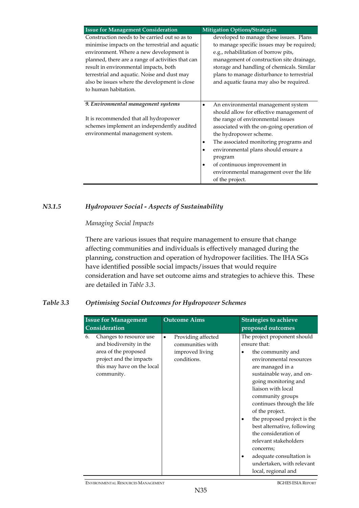| <b>Issue for Management Consideration</b>         | <b>Mitigation Options/Strategies</b>        |
|---------------------------------------------------|---------------------------------------------|
| Construction needs to be carried out so as to     | developed to manage these issues. Plans     |
| minimise impacts on the terrestrial and aquatic   | to manage specific issues may be required;  |
| environment. Where a new development is           | e.g., rehabilitation of borrow pits,        |
| planned, there are a range of activities that can | management of construction site drainage,   |
| result in environmental impacts, both             | storage and handling of chemicals. Similar  |
| terrestrial and aquatic. Noise and dust may       | plans to manage disturbance to terrestrial  |
| also be issues where the development is close     | and aquatic fauna may also be required.     |
| to human habitation.                              |                                             |
|                                                   |                                             |
| 9. Environmental management systems               | An environmental management system<br>٠     |
|                                                   | should allow for effective management of    |
| It is recommended that all hydropower             | the range of environmental issues           |
| schemes implement an independently audited        | associated with the on-going operation of   |
| environmental management system.                  | the hydropower scheme.                      |
|                                                   | The associated monitoring programs and<br>٠ |
|                                                   | environmental plans should ensure a<br>٠    |
|                                                   | program                                     |
|                                                   | of continuous improvement in<br>٠           |
|                                                   | environmental management over the life      |
|                                                   | of the project.                             |

#### *N3.1.5 Hydropower Social - Aspects of Sustainability*

#### *Managing Social Impacts*

There are various issues that require management to ensure that change affecting communities and individuals is effectively managed during the planning, construction and operation of hydropower facilities. The IHA SGs have identified possible social impacts/issues that would require consideration and have set outcome aims and strategies to achieve this. These are detailed in *Table 3.3*.

## *Table 3.3 Optimising Social Outcomes for Hydropower Schemes*

| <b>Issue for Management</b><br>Consideration                                                                                                            | <b>Outcome Aims</b>                                                           | <b>Strategies to achieve</b><br>proposed outcomes                                                                                                                                                                                                                                                                                                                                                                                                                           |  |  |
|---------------------------------------------------------------------------------------------------------------------------------------------------------|-------------------------------------------------------------------------------|-----------------------------------------------------------------------------------------------------------------------------------------------------------------------------------------------------------------------------------------------------------------------------------------------------------------------------------------------------------------------------------------------------------------------------------------------------------------------------|--|--|
| Changes to resource use<br>6.<br>and biodiversity in the<br>area of the proposed<br>project and the impacts<br>this may have on the local<br>community. | Providing affected<br>٠<br>communities with<br>improved living<br>conditions. | The project proponent should<br>ensure that:<br>the community and<br>environmental resources<br>are managed in a<br>sustainable way, and on-<br>going monitoring and<br>liaison with local<br>community groups<br>continues through the life<br>of the project.<br>the proposed project is the<br>best alternative, following<br>the consideration of<br>relevant stakeholders<br>concerns;<br>adequate consultation is<br>undertaken, with relevant<br>local, regional and |  |  |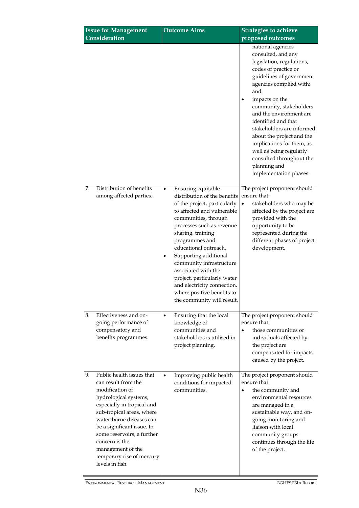|    | <b>Issue for Management</b>                                                                                                                                                                                                                                                                                                            | <b>Outcome Aims</b>                                                                                                                                                                                                                                                                                                                                                                                                                                                   | <b>Strategies to achieve</b>                                                                                                                                                                                                                                                                                                                                                                                                                                   |  |  |
|----|----------------------------------------------------------------------------------------------------------------------------------------------------------------------------------------------------------------------------------------------------------------------------------------------------------------------------------------|-----------------------------------------------------------------------------------------------------------------------------------------------------------------------------------------------------------------------------------------------------------------------------------------------------------------------------------------------------------------------------------------------------------------------------------------------------------------------|----------------------------------------------------------------------------------------------------------------------------------------------------------------------------------------------------------------------------------------------------------------------------------------------------------------------------------------------------------------------------------------------------------------------------------------------------------------|--|--|
|    | Consideration                                                                                                                                                                                                                                                                                                                          |                                                                                                                                                                                                                                                                                                                                                                                                                                                                       | proposed outcomes                                                                                                                                                                                                                                                                                                                                                                                                                                              |  |  |
|    |                                                                                                                                                                                                                                                                                                                                        |                                                                                                                                                                                                                                                                                                                                                                                                                                                                       | national agencies<br>consulted, and any<br>legislation, regulations,<br>codes of practice or<br>guidelines of government<br>agencies complied with;<br>and<br>impacts on the<br>$\bullet$<br>community, stakeholders<br>and the environment are<br>identified and that<br>stakeholders are informed<br>about the project and the<br>implications for them, as<br>well as being regularly<br>consulted throughout the<br>planning and<br>implementation phases. |  |  |
| 7. | Distribution of benefits<br>among affected parties.                                                                                                                                                                                                                                                                                    | Ensuring equitable<br>$\bullet$<br>distribution of the benefits<br>of the project, particularly<br>to affected and vulnerable<br>communities, through<br>processes such as revenue<br>sharing, training<br>programmes and<br>educational outreach.<br>Supporting additional<br>$\bullet$<br>community infrastructure<br>associated with the<br>project, particularly water<br>and electricity connection,<br>where positive benefits to<br>the community will result. | The project proponent should<br>ensure that:<br>stakeholders who may be<br>$\bullet$<br>affected by the project are<br>provided with the<br>opportunity to be<br>represented during the<br>different phases of project<br>development.                                                                                                                                                                                                                         |  |  |
| 8. | Effectiveness and on-<br>going performance of<br>compensatory and<br>benefits programmes.                                                                                                                                                                                                                                              | Ensuring that the local<br>$\bullet$<br>knowledge of<br>communities and<br>stakeholders is utilised in<br>project planning.                                                                                                                                                                                                                                                                                                                                           | The project proponent should<br>ensure that:<br>$\bullet$<br>those communities or<br>individuals affected by<br>the project are<br>compensated for impacts<br>caused by the project.                                                                                                                                                                                                                                                                           |  |  |
| 9. | Public health issues that<br>can result from the<br>modification of<br>hydrological systems,<br>especially in tropical and<br>sub-tropical areas, where<br>water-borne diseases can<br>be a significant issue. In<br>some reservoirs, a further<br>concern is the<br>management of the<br>temporary rise of mercury<br>levels in fish. | Improving public health<br>$\bullet$<br>conditions for impacted<br>communities.                                                                                                                                                                                                                                                                                                                                                                                       | The project proponent should<br>ensure that:<br>the community and<br>$\bullet$<br>environmental resources<br>are managed in a<br>sustainable way, and on-<br>going monitoring and<br>liaison with local<br>community groups<br>continues through the life<br>of the project.                                                                                                                                                                                   |  |  |

**ENVIRONMENTAL RESOURCES MANAGEMENT** BGHES ESIA REPORT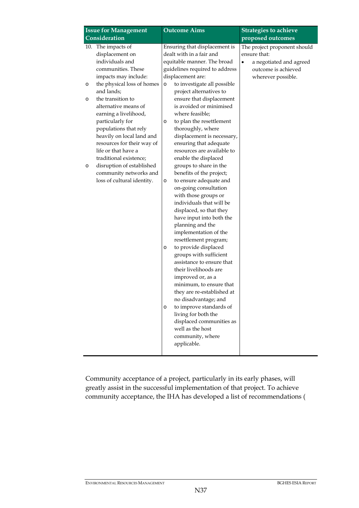| <b>Issue for Management</b> |                                          | <b>Outcome Aims</b> |                                                           | <b>Strategies to achieve</b>                 |  |  |
|-----------------------------|------------------------------------------|---------------------|-----------------------------------------------------------|----------------------------------------------|--|--|
|                             | Consideration                            |                     |                                                           | proposed outcomes                            |  |  |
|                             | 10. The impacts of<br>displacement on    |                     | Ensuring that displacement is<br>dealt with in a fair and | The project proponent should<br>ensure that: |  |  |
|                             | individuals and                          |                     | equitable manner. The broad                               | a negotiated and agreed<br>$\bullet$         |  |  |
|                             | communities. These                       |                     | guidelines required to address                            | outcome is achieved                          |  |  |
|                             | impacts may include:                     |                     | displacement are:                                         | wherever possible.                           |  |  |
| O                           | the physical loss of homes<br>and lands; | $\circ$             | to investigate all possible<br>project alternatives to    |                                              |  |  |
| O                           | the transition to                        |                     | ensure that displacement                                  |                                              |  |  |
|                             | alternative means of                     |                     | is avoided or minimised                                   |                                              |  |  |
|                             | earning a livelihood,                    |                     | where feasible;                                           |                                              |  |  |
|                             | particularly for                         | $\circ$             | to plan the resettlement                                  |                                              |  |  |
|                             | populations that rely                    |                     | thoroughly, where                                         |                                              |  |  |
|                             | heavily on local land and                |                     | displacement is necessary,                                |                                              |  |  |
|                             | resources for their way of               |                     | ensuring that adequate                                    |                                              |  |  |
|                             | life or that have a                      |                     | resources are available to                                |                                              |  |  |
|                             | traditional existence;                   |                     | enable the displaced                                      |                                              |  |  |
| O                           | disruption of established                |                     | groups to share in the                                    |                                              |  |  |
|                             | community networks and                   |                     | benefits of the project;                                  |                                              |  |  |
|                             | loss of cultural identity.               | $\circ$             | to ensure adequate and                                    |                                              |  |  |
|                             |                                          |                     | on-going consultation                                     |                                              |  |  |
|                             |                                          |                     | with those groups or                                      |                                              |  |  |
|                             |                                          |                     | individuals that will be                                  |                                              |  |  |
|                             |                                          |                     | displaced, so that they                                   |                                              |  |  |
|                             |                                          |                     | have input into both the                                  |                                              |  |  |
|                             |                                          |                     | planning and the                                          |                                              |  |  |
|                             |                                          |                     | implementation of the                                     |                                              |  |  |
|                             |                                          |                     | resettlement program;                                     |                                              |  |  |
|                             |                                          | $\circ$             | to provide displaced                                      |                                              |  |  |
|                             |                                          |                     | groups with sufficient                                    |                                              |  |  |
|                             |                                          |                     | assistance to ensure that                                 |                                              |  |  |
|                             |                                          |                     | their livelihoods are                                     |                                              |  |  |
|                             |                                          |                     | improved or, as a                                         |                                              |  |  |
|                             |                                          |                     | minimum, to ensure that                                   |                                              |  |  |
|                             |                                          |                     | they are re-established at                                |                                              |  |  |
|                             |                                          |                     | no disadvantage; and                                      |                                              |  |  |
|                             |                                          | $\circ$             | to improve standards of                                   |                                              |  |  |
|                             |                                          |                     | living for both the                                       |                                              |  |  |
|                             |                                          |                     | displaced communities as                                  |                                              |  |  |
|                             |                                          |                     | well as the host                                          |                                              |  |  |
|                             |                                          |                     | community, where                                          |                                              |  |  |
|                             |                                          |                     | applicable.                                               |                                              |  |  |
|                             |                                          |                     |                                                           |                                              |  |  |

Community acceptance of a project, particularly in its early phases, will greatly assist in the successful implementation of that project. To achieve community acceptance, the IHA has developed a list of recommendations (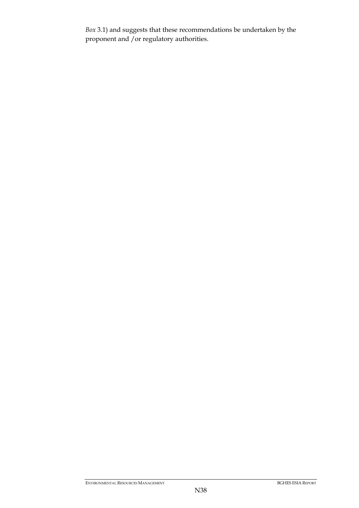*Box* 3.1) and suggests that these recommendations be undertaken by the proponent and /or regulatory authorities.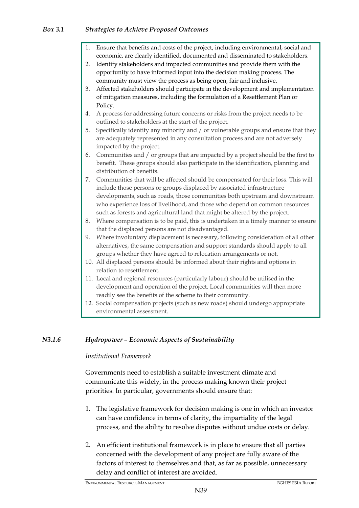## *Box 3.1 Strategies to Achieve Proposed Outcomes*

- 1. Ensure that benefits and costs of the project, including environmental, social and economic, are clearly identified, documented and disseminated to stakeholders.
- 2. Identify stakeholders and impacted communities and provide them with the opportunity to have informed input into the decision making process. The community must view the process as being open, fair and inclusive.
- 3. Affected stakeholders should participate in the development and implementation of mitigation measures, including the formulation of a Resettlement Plan or Policy.
- 4. A process for addressing future concerns or risks from the project needs to be outlined to stakeholders at the start of the project.
- 5. Specifically identify any minority and / or vulnerable groups and ensure that they are adequately represented in any consultation process and are not adversely impacted by the project.
- 6. Communities and / or groups that are impacted by a project should be the first to benefit. These groups should also participate in the identification, planning and distribution of benefits.
- 7. Communities that will be affected should be compensated for their loss. This will include those persons or groups displaced by associated infrastructure developments, such as roads, those communities both upstream and downstream who experience loss of livelihood, and those who depend on common resources such as forests and agricultural land that might be altered by the project.
- 8. Where compensation is to be paid, this is undertaken in a timely manner to ensure that the displaced persons are not disadvantaged.
- 9. Where involuntary displacement is necessary, following consideration of all other alternatives, the same compensation and support standards should apply to all groups whether they have agreed to relocation arrangements or not.
- 10. All displaced persons should be informed about their rights and options in relation to resettlement.
- 11. Local and regional resources (particularly labour) should be utilised in the development and operation of the project. Local communities will then more readily see the benefits of the scheme to their community.
- 12. Social compensation projects (such as new roads) should undergo appropriate environmental assessment.

# *N3.1.6 Hydropower – Economic Aspects of Sustainability*

## *Institutional Framework*

Governments need to establish a suitable investment climate and communicate this widely, in the process making known their project priorities. In particular, governments should ensure that:

- 1. The legislative framework for decision making is one in which an investor can have confidence in terms of clarity, the impartiality of the legal process, and the ability to resolve disputes without undue costs or delay.
- 2. An efficient institutional framework is in place to ensure that all parties concerned with the development of any project are fully aware of the factors of interest to themselves and that, as far as possible, unnecessary delay and conflict of interest are avoided.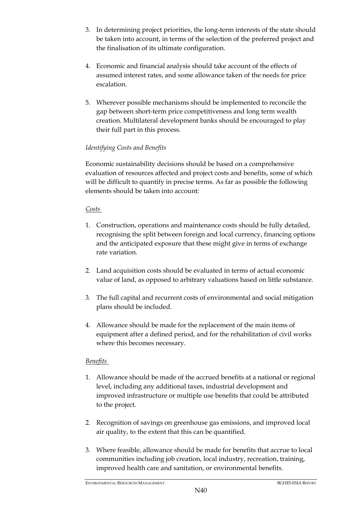- 3. In determining project priorities, the long-term interests of the state should be taken into account, in terms of the selection of the preferred project and the finalisation of its ultimate configuration.
- 4. Economic and financial analysis should take account of the effects of assumed interest rates, and some allowance taken of the needs for price escalation.
- 5. Wherever possible mechanisms should be implemented to reconcile the gap between short-term price competitiveness and long term wealth creation. Multilateral development banks should be encouraged to play their full part in this process.

# *Identifying Costs and Benefits*

Economic sustainability decisions should be based on a comprehensive evaluation of resources affected and project costs and benefits, some of which will be difficult to quantify in precise terms. As far as possible the following elements should be taken into account:

# *Costs*

- 1. Construction, operations and maintenance costs should be fully detailed, recognising the split between foreign and local currency, financing options and the anticipated exposure that these might give in terms of exchange rate variation.
- 2. Land acquisition costs should be evaluated in terms of actual economic value of land, as opposed to arbitrary valuations based on little substance.
- 3. The full capital and recurrent costs of environmental and social mitigation plans should be included.
- 4. Allowance should be made for the replacement of the main items of equipment after a defined period, and for the rehabilitation of civil works where this becomes necessary.

# *Benefits*

- 1. Allowance should be made of the accrued benefits at a national or regional level, including any additional taxes, industrial development and improved infrastructure or multiple use benefits that could be attributed to the project.
- 2. Recognition of savings on greenhouse gas emissions, and improved local air quality, to the extent that this can be quantified.
- 3. Where feasible, allowance should be made for benefits that accrue to local communities including job creation, local industry, recreation, training, improved health care and sanitation, or environmental benefits.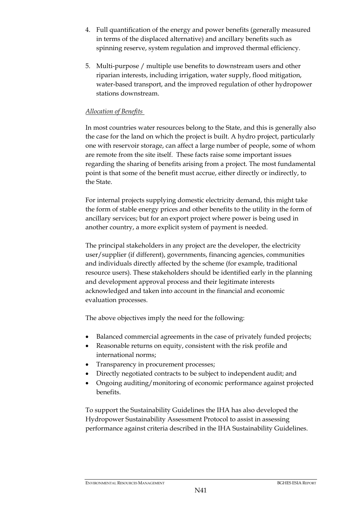- 4. Full quantification of the energy and power benefits (generally measured in terms of the displaced alternative) and ancillary benefits such as spinning reserve, system regulation and improved thermal efficiency.
- 5. Multi-purpose / multiple use benefits to downstream users and other riparian interests, including irrigation, water supply, flood mitigation, water-based transport, and the improved regulation of other hydropower stations downstream.

# *Allocation of Benefits*

In most countries water resources belong to the State, and this is generally also the case for the land on which the project is built. A hydro project, particularly one with reservoir storage, can affect a large number of people, some of whom are remote from the site itself. These facts raise some important issues regarding the sharing of benefits arising from a project. The most fundamental point is that some of the benefit must accrue, either directly or indirectly, to the State.

For internal projects supplying domestic electricity demand, this might take the form of stable energy prices and other benefits to the utility in the form of ancillary services; but for an export project where power is being used in another country, a more explicit system of payment is needed.

The principal stakeholders in any project are the developer, the electricity user/supplier (if different), governments, financing agencies, communities and individuals directly affected by the scheme (for example, traditional resource users). These stakeholders should be identified early in the planning and development approval process and their legitimate interests acknowledged and taken into account in the financial and economic evaluation processes.

The above objectives imply the need for the following:

- Balanced commercial agreements in the case of privately funded projects;
- Reasonable returns on equity, consistent with the risk profile and international norms;
- Transparency in procurement processes;
- Directly negotiated contracts to be subject to independent audit; and
- Ongoing auditing/monitoring of economic performance against projected benefits.

To support the Sustainability Guidelines the IHA has also developed the Hydropower Sustainability Assessment Protocol to assist in assessing performance against criteria described in the IHA Sustainability Guidelines.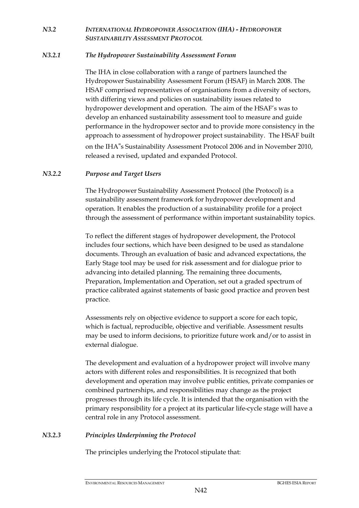# *N3.2 INTERNATIONAL HYDROPOWER ASSOCIATION (IHA) - HYDROPOWER SUSTAINABILITY ASSESSMENT PROTOCOL*

## *N3.2.1 The Hydropower Sustainability Assessment Forum*

The IHA in close collaboration with a range of partners launched the Hydropower Sustainability Assessment Forum (HSAF) in March 2008. The HSAF comprised representatives of organisations from a diversity of sectors, with differing views and policies on sustainability issues related to hydropower development and operation. The aim of the HSAF's was to develop an enhanced sustainability assessment tool to measure and guide performance in the hydropower sector and to provide more consistency in the approach to assessment of hydropower project sustainability. The HSAF built on the IHA"s Sustainability Assessment Protocol 2006 and in November 2010, released a revised, updated and expanded Protocol.

## *N3.2.2 Purpose and Target Users*

The Hydropower Sustainability Assessment Protocol (the Protocol) is a sustainability assessment framework for hydropower development and operation. It enables the production of a sustainability profile for a project through the assessment of performance within important sustainability topics.

To reflect the different stages of hydropower development, the Protocol includes four sections, which have been designed to be used as standalone documents. Through an evaluation of basic and advanced expectations, the Early Stage tool may be used for risk assessment and for dialogue prior to advancing into detailed planning. The remaining three documents, Preparation, Implementation and Operation, set out a graded spectrum of practice calibrated against statements of basic good practice and proven best practice.

Assessments rely on objective evidence to support a score for each topic, which is factual, reproducible, objective and verifiable. Assessment results may be used to inform decisions, to prioritize future work and/or to assist in external dialogue.

The development and evaluation of a hydropower project will involve many actors with different roles and responsibilities. It is recognized that both development and operation may involve public entities, private companies or combined partnerships, and responsibilities may change as the project progresses through its life cycle. It is intended that the organisation with the primary responsibility for a project at its particular life-cycle stage will have a central role in any Protocol assessment.

## *N3.2.3 Principles Underpinning the Protocol*

The principles underlying the Protocol stipulate that: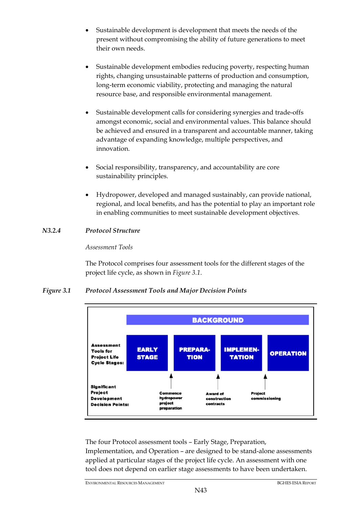- Sustainable development is development that meets the needs of the present without compromising the ability of future generations to meet their own needs.
- Sustainable development embodies reducing poverty, respecting human rights, changing unsustainable patterns of production and consumption, long-term economic viability, protecting and managing the natural resource base, and responsible environmental management.
- Sustainable development calls for considering synergies and trade-offs amongst economic, social and environmental values. This balance should be achieved and ensured in a transparent and accountable manner, taking advantage of expanding knowledge, multiple perspectives, and innovation.
- Social responsibility, transparency, and accountability are core sustainability principles.
- Hydropower, developed and managed sustainably, can provide national, regional, and local benefits, and has the potential to play an important role in enabling communities to meet sustainable development objectives.

# *N3.2.4 Protocol Structure*

#### *Assessment Tools*

The Protocol comprises four assessment tools for the different stages of the project life cycle, as shown in *Figure 3.1*.

## *Figure 3.1 Protocol Assessment Tools and Major Decision Points*



The four Protocol assessment tools – Early Stage, Preparation, Implementation, and Operation – are designed to be stand-alone assessments applied at particular stages of the project life cycle. An assessment with one tool does not depend on earlier stage assessments to have been undertaken.

ENVIRONMENTAL RESOURCES MANAGEMENT BGHES ESIA REPORT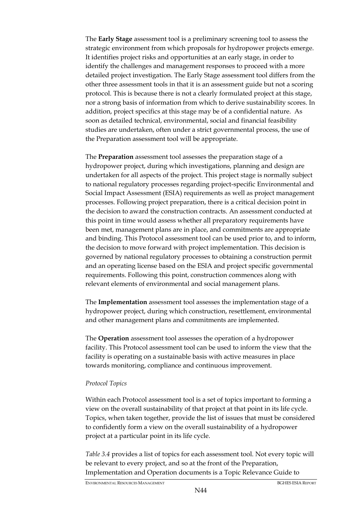The **Early Stage** assessment tool is a preliminary screening tool to assess the strategic environment from which proposals for hydropower projects emerge. It identifies project risks and opportunities at an early stage, in order to identify the challenges and management responses to proceed with a more detailed project investigation. The Early Stage assessment tool differs from the other three assessment tools in that it is an assessment guide but not a scoring protocol. This is because there is not a clearly formulated project at this stage, nor a strong basis of information from which to derive sustainability scores. In addition, project specifics at this stage may be of a confidential nature. As soon as detailed technical, environmental, social and financial feasibility studies are undertaken, often under a strict governmental process, the use of the Preparation assessment tool will be appropriate.

The **Preparation** assessment tool assesses the preparation stage of a hydropower project, during which investigations, planning and design are undertaken for all aspects of the project. This project stage is normally subject to national regulatory processes regarding project-specific Environmental and Social Impact Assessment (ESIA) requirements as well as project management processes. Following project preparation, there is a critical decision point in the decision to award the construction contracts. An assessment conducted at this point in time would assess whether all preparatory requirements have been met, management plans are in place, and commitments are appropriate and binding. This Protocol assessment tool can be used prior to, and to inform, the decision to move forward with project implementation. This decision is governed by national regulatory processes to obtaining a construction permit and an operating license based on the ESIA and project specific governmental requirements. Following this point, construction commences along with relevant elements of environmental and social management plans.

The **Implementation** assessment tool assesses the implementation stage of a hydropower project, during which construction, resettlement, environmental and other management plans and commitments are implemented.

The **Operation** assessment tool assesses the operation of a hydropower facility. This Protocol assessment tool can be used to inform the view that the facility is operating on a sustainable basis with active measures in place towards monitoring, compliance and continuous improvement.

#### *Protocol Topics*

Within each Protocol assessment tool is a set of topics important to forming a view on the overall sustainability of that project at that point in its life cycle. Topics, when taken together, provide the list of issues that must be considered to confidently form a view on the overall sustainability of a hydropower project at a particular point in its life cycle.

*Table 3.4* provides a list of topics for each assessment tool. Not every topic will be relevant to every project, and so at the front of the Preparation, Implementation and Operation documents is a Topic Relevance Guide to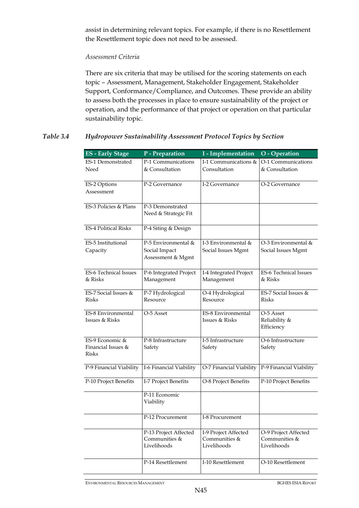assist in determining relevant topics. For example, if there is no Resettlement the Resettlement topic does not need to be assessed.

#### *Assessment Criteria*

There are six criteria that may be utilised for the scoring statements on each topic – Assessment, Management, Stakeholder Engagement, Stakeholder Support, Conformance/Compliance, and Outcomes. These provide an ability to assess both the processes in place to ensure sustainability of the project or operation, and the performance of that project or operation on that particular sustainability topic.

## *Table 3.4 Hydropower Sustainability Assessment Protocol Topics by Section*

| <b>ES - Early Stage</b>                               | P - Preparation                                           | I - Implementation                                     | O - Operation                                        |
|-------------------------------------------------------|-----------------------------------------------------------|--------------------------------------------------------|------------------------------------------------------|
| ES-1 Demonstrated<br>Need                             | P-1 Communications<br>& Consultation                      | I-1 Communications &<br>Consultation                   | O-1 Communications<br>& Consultation                 |
| ES-2 Options<br>Assessment                            | P-2 Governance                                            | I-2 Governance                                         | O-2 Governance                                       |
| ES-3 Policies & Plans                                 | P-3 Demonstrated<br>Need & Strategic Fit                  |                                                        |                                                      |
| <b>ES-4 Political Risks</b>                           | P-4 Siting & Design                                       |                                                        |                                                      |
| ES-5 Institutional<br>Capacity                        | P-5 Environmental &<br>Social Impact<br>Assessment & Mgmt | I-3 Environmental &<br>Social Issues Mgmt              | O-3 Environmental &<br>Social Issues Mgmt            |
| <b>ES-6 Technical Issues</b><br>& Risks               | P-6 Integrated Project<br>Management                      | I-4 Integrated Project<br>Management                   | <b>ES-6 Technical Issues</b><br>& Risks              |
| ES-7 Social Issues $&$<br><b>Risks</b>                | P-7 Hydrological<br>Resource                              | O-4 Hydrological<br>Resource                           | ES-7 Social Issues &<br>Risks                        |
| ES-8 Environmental<br>Issues & Risks                  | O-5 Asset                                                 | <b>ES-8 Environmental</b><br><b>Issues &amp; Risks</b> | O-5 Asset<br>Reliability &<br>Efficiency             |
| ES-9 Economic &<br>Financial Issues &<br><b>Risks</b> | P-8 Infrastructure<br>Safety                              | I-5 Infrastructure<br>Safety                           | O-6 Infrastructure<br>Safety                         |
| P-9 Financial Viability                               | I-6 Financial Viability                                   | O-7 Financial Viability                                | P-9 Financial Viability                              |
| P-10 Project Benefits                                 | I-7 Project Benefits                                      | O-8 Project Benefits                                   | P-10 Project Benefits                                |
|                                                       | P-11 Economic<br>Viability                                |                                                        |                                                      |
|                                                       | P-12 Procurement                                          | I-8 Procurement                                        |                                                      |
|                                                       | P-13 Project Affected<br>Communities &<br>Livelihoods     | I-9 Project Affected<br>Communities &<br>Livelihoods   | O-9 Project Affected<br>Communities &<br>Livelihoods |
|                                                       | P-14 Resettlement                                         | I-10 Resettlement                                      | O-10 Resettlement                                    |

ENVIRONMENTAL RESOURCES MANAGEMENT BGHES ESIA REPORT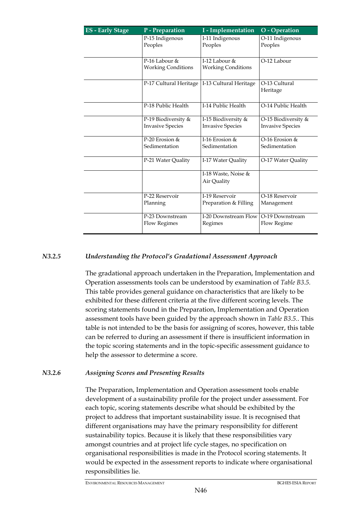| <b>ES - Early Stage</b> | P - Preparation                                | I - Implementation                             | O - Operation                                  |
|-------------------------|------------------------------------------------|------------------------------------------------|------------------------------------------------|
|                         | P-15 Indigenous<br>Peoples                     | I-11 Indigenous<br>Peoples                     | O-11 Indigenous<br>Peoples                     |
|                         | P-16 Labour &<br><b>Working Conditions</b>     | I-12 Labour $\&$<br><b>Working Conditions</b>  | O-12 Labour                                    |
|                         | P-17 Cultural Heritage                         | I-13 Cultural Heritage                         | O-13 Cultural<br>Heritage                      |
|                         | P-18 Public Health                             | I-14 Public Health                             | O-14 Public Health                             |
|                         | P-19 Biodiversity &<br><b>Invasive Species</b> | I-15 Biodiversity &<br><b>Invasive Species</b> | O-15 Biodiversity &<br><b>Invasive Species</b> |
|                         | P-20 Erosion $\&$<br>Sedimentation             | I-16 Erosion $\&$<br>Sedimentation             | $O-16$ Erosion &<br>Sedimentation              |
|                         | P-21 Water Quality                             | I-17 Water Quality                             | O-17 Water Quality                             |
|                         |                                                | I-18 Waste, Noise &<br>Air Quality             |                                                |
|                         | P-22 Reservoir<br>Planning                     | I-19 Reservoir<br>Preparation & Filling        | O-18 Reservoir<br>Management                   |
|                         | P-23 Downstream<br>Flow Regimes                | I-20 Downstream Flow<br>Regimes                | O-19 Downstream<br>Flow Regime                 |

## *N3.2.5 Understanding the Protocol's Gradational Assessment Approach*

The gradational approach undertaken in the Preparation, Implementation and Operation assessments tools can be understood by examination of *Table B3.5.*  This table provides general guidance on characteristics that are likely to be exhibited for these different criteria at the five different scoring levels. The scoring statements found in the Preparation, Implementation and Operation assessment tools have been guided by the approach shown in *Table B3.5.*. This table is not intended to be the basis for assigning of scores, however, this table can be referred to during an assessment if there is insufficient information in the topic scoring statements and in the topic-specific assessment guidance to help the assessor to determine a score.

## *N3.2.6 Assigning Scores and Presenting Results*

The Preparation, Implementation and Operation assessment tools enable development of a sustainability profile for the project under assessment. For each topic, scoring statements describe what should be exhibited by the project to address that important sustainability issue. It is recognised that different organisations may have the primary responsibility for different sustainability topics. Because it is likely that these responsibilities vary amongst countries and at project life cycle stages, no specification on organisational responsibilities is made in the Protocol scoring statements. It would be expected in the assessment reports to indicate where organisational responsibilities lie.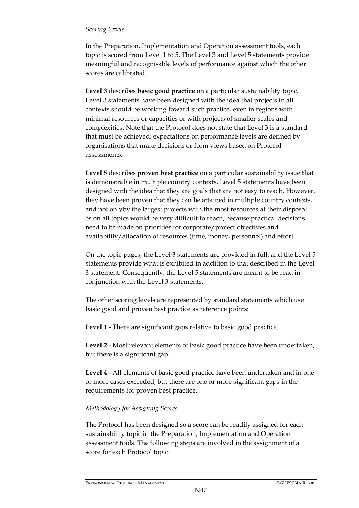#### *Scoring Levels*

In the Preparation, Implementation and Operation assessment tools, each topic is scored from Level 1 to 5. The Level 3 and Level 5 statements provide meaningful and recognisable levels of performance against which the other scores are calibrated.

**Level 3** describes **basic good practice** on a particular sustainability topic. Level 3 statements have been designed with the idea that projects in all contexts should be working toward such practice, even in regions with minimal resources or capacities or with projects of smaller scales and complexities. Note that the Protocol does not state that Level 3 is a standard that must be achieved; expectations on performance levels are defined by organisations that make decisions or form views based on Protocol assessments.

**Level 5** describes **proven best practice** on a particular sustainability issue that is demonstrable in multiple country contexts. Level 5 statements have been designed with the idea that they are goals that are not easy to reach. However, they have been proven that they can be attained in multiple country contexts, and not onlyby the largest projects with the most resources at their disposal. 5s on all topics would be very difficult to reach, because practical decisions need to be made on priorities for corporate/project objectives and availability/allocation of resources (time, money, personnel) and effort.

On the topic pages, the Level 3 statements are provided in full, and the Level 5 statements provide what is exhibited in addition to that described in the Level 3 statement. Consequently, the Level 5 statements are meant to be read in conjunction with the Level 3 statements.

The other scoring levels are represented by standard statements which use basic good and proven best practice as reference points:

**Level 1** - There are significant gaps relative to basic good practice.

**Level 2** - Most relevant elements of basic good practice have been undertaken, but there is a significant gap.

**Level 4** - All elements of basic good practice have been undertaken and in one or more cases exceeded, but there are one or more significant gaps in the requirements for proven best practice.

## *Methodology for Assigning Scores*

The Protocol has been designed so a score can be readily assigned for each sustainability topic in the Preparation, Implementation and Operation assessment tools. The following steps are involved in the assignment of a score for each Protocol topic: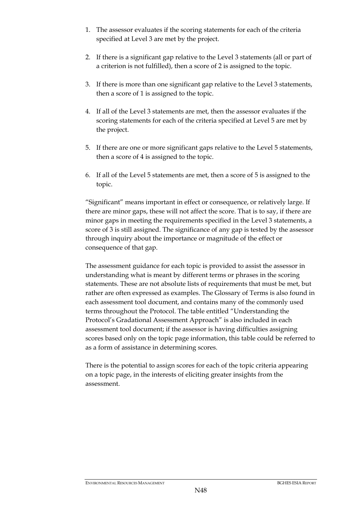- 1. The assessor evaluates if the scoring statements for each of the criteria specified at Level 3 are met by the project.
- 2. If there is a significant gap relative to the Level 3 statements (all or part of a criterion is not fulfilled), then a score of 2 is assigned to the topic.
- 3. If there is more than one significant gap relative to the Level 3 statements, then a score of 1 is assigned to the topic.
- 4. If all of the Level 3 statements are met, then the assessor evaluates if the scoring statements for each of the criteria specified at Level 5 are met by the project.
- 5. If there are one or more significant gaps relative to the Level 5 statements, then a score of 4 is assigned to the topic.
- 6. If all of the Level 5 statements are met, then a score of 5 is assigned to the topic.

"Significant" means important in effect or consequence, or relatively large. If there are minor gaps, these will not affect the score. That is to say, if there are minor gaps in meeting the requirements specified in the Level 3 statements, a score of 3 is still assigned. The significance of any gap is tested by the assessor through inquiry about the importance or magnitude of the effect or consequence of that gap.

The assessment guidance for each topic is provided to assist the assessor in understanding what is meant by different terms or phrases in the scoring statements. These are not absolute lists of requirements that must be met, but rather are often expressed as examples. The Glossary of Terms is also found in each assessment tool document, and contains many of the commonly used terms throughout the Protocol. The table entitled "Understanding the Protocol's Gradational Assessment Approach" is also included in each assessment tool document; if the assessor is having difficulties assigning scores based only on the topic page information, this table could be referred to as a form of assistance in determining scores.

There is the potential to assign scores for each of the topic criteria appearing on a topic page, in the interests of eliciting greater insights from the assessment.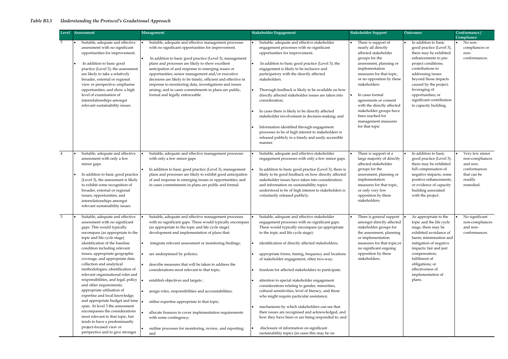| Level          | Assessment                                                                                                                                                                                                                                                                                                                                                                                                                                                                                                                                                                                                                                                                                                                                                                                              | Management                                                                                                                                                                                                                                                                                                                                                                                                                                                                                                                                                                                                                                                                                                                   | <b>Stakeholder Engagement</b>                                                                                                                                                                                                                                                                                                                                                                                                                                                                                                                                                                                                                                                                                                                                                                                                                                       | <b>Stakeholder Support</b>                                                                                                                                                                                                                                                                                                                                                     | <b>Outcomes</b>                                                                                                                                                                                                                                                                                                 | Conformance/<br>Compliance                                                                           |
|----------------|---------------------------------------------------------------------------------------------------------------------------------------------------------------------------------------------------------------------------------------------------------------------------------------------------------------------------------------------------------------------------------------------------------------------------------------------------------------------------------------------------------------------------------------------------------------------------------------------------------------------------------------------------------------------------------------------------------------------------------------------------------------------------------------------------------|------------------------------------------------------------------------------------------------------------------------------------------------------------------------------------------------------------------------------------------------------------------------------------------------------------------------------------------------------------------------------------------------------------------------------------------------------------------------------------------------------------------------------------------------------------------------------------------------------------------------------------------------------------------------------------------------------------------------------|---------------------------------------------------------------------------------------------------------------------------------------------------------------------------------------------------------------------------------------------------------------------------------------------------------------------------------------------------------------------------------------------------------------------------------------------------------------------------------------------------------------------------------------------------------------------------------------------------------------------------------------------------------------------------------------------------------------------------------------------------------------------------------------------------------------------------------------------------------------------|--------------------------------------------------------------------------------------------------------------------------------------------------------------------------------------------------------------------------------------------------------------------------------------------------------------------------------------------------------------------------------|-----------------------------------------------------------------------------------------------------------------------------------------------------------------------------------------------------------------------------------------------------------------------------------------------------------------|------------------------------------------------------------------------------------------------------|
| 5              | Suitable, adequate and effective<br>assessment with no significant<br>opportunities for improvement.<br>In addition to basic good<br>practice (Level 3), the assessment<br>are likely to take a relatively<br>broader, external or regional<br>view or perspective; emphasise<br>opportunities; and show a high<br>level of examination of<br>interrelationships amongst<br>relevant sustainability issues.                                                                                                                                                                                                                                                                                                                                                                                             | Suitable, adequate and effective management processes<br>with no significant opportunities for improvement.<br>In addition to basic good practice (Level 3), management<br>plans and processes are likely to show excellent<br>anticipation of and response to emerging issues or<br>opportunities; senior management and/or executive<br>decisions are likely to be timely, efficient and effective in<br>response to monitoring data, investigations and issues<br>arising; and in cases commitments in plans are public,<br>formal and legally enforceable.                                                                                                                                                               | Suitable, adequate and effective stakeholder<br>engagement processes with no significant<br>opportunities for improvement.<br>In addition to basic good practice (Level 3), the<br>engagement is likely to be inclusive and<br>participatory with the directly affected<br>stakeholders.<br>Thorough feedback is likely to be available on how<br>directly affected stakeholder issues are taken into<br>consideration;<br>In cases there is likely to be directly affected<br>stakeholder involvement in decision-making; and<br>Information identified through engagement<br>processes to be of high interest to stakeholders is<br>released publicly in a timely and easily accessible<br>manner.                                                                                                                                                                | • There is support of<br>nearly all directly<br>affected stakeholder<br>groups for the<br>assessment, planning or<br>implementation<br>measures for that topic,<br>or no opposition by these<br>stakeholders<br>In cases formal<br>agreements or consent<br>with the directly affected<br>stakeholder groups have<br>been reached for<br>management measures<br>for that topic | In addition to basic<br>good practice (Level 3),<br>there may be exhibited<br>enhancements to pre-<br>project conditions;<br>contributions to<br>addressing issues<br>beyond those impacts<br>caused by the project;<br>leveraging of<br>opportunities; or<br>significant contribution<br>to capacity building. | $\bullet$ No non-<br>compliances or<br>non-<br>conformances.                                         |
| $\overline{4}$ | Suitable, adequate and effective<br>assessment with only a few<br>minor gaps.<br>In addition to basic good practice<br>(Level 3), the assessment is likely<br>to exhibit some recognition of<br>broader, external or regional<br>issues; opportunities; and<br>interrelationships amongst<br>relevant sustainability issues.                                                                                                                                                                                                                                                                                                                                                                                                                                                                            | Suitable, adequate and effective management processes<br>with only a few minor gaps<br>In addition to basic good practice (Level 3), management<br>plans and processes are likely to exhibit good anticipation<br>of and response to emerging issues or opportunities; and<br>in cases commitments in plans are public and formal.                                                                                                                                                                                                                                                                                                                                                                                           | Suitable, adequate and effective stakeholder<br>engagement processes with only a few minor gaps.<br>In addition to basic good practice (Level 3), there is<br>likely to be good feedback on how directly affected<br>stakeholder issues have taken into consideration;<br>and information on sustainability topics<br>understood to be of high interest to stakeholders is<br>voluntarily released publicly.                                                                                                                                                                                                                                                                                                                                                                                                                                                        | There is support of a<br>large majority of directly<br>affected stakeholder<br>groups for the<br>assessment, planning or<br>implementation<br>measures for that topic,<br>or only very low<br>opposition by these<br>stakeholders.                                                                                                                                             | In addition to basic<br>good practice (Level 3),<br>there may be exhibited<br>full compensation of<br>negative impacts; some<br>positive enhancements;<br>or evidence of capacity<br>building associated<br>with the project.                                                                                   | Very few minor<br>non-compliances<br>and non-<br>conformances<br>that can be<br>readily<br>remedied. |
| 3              | Suitable, adequate and effective<br>assessment with no significant<br>gaps. This would typically<br>encompass (as appropriate to the<br>topic and life cycle stage)<br>identification of the baseline<br>condition including relevant<br>issues, appropriate geographic<br>coverage, and appropriate data<br>collection and analytical<br>methodologies; identification of<br>relevant organisational roles and<br>responsibilities, and legal, policy<br>and other requirements;<br>appropriate utilisation of<br>expertise and local knowledge;<br>and appropriate budget and time $\vert$ .<br>span. At level 3 the assessment<br>encompasses the considerations<br>most relevant to that topic, but<br>tends to have a predominantly<br>project-focused view or<br>perspective and to give stronger | Suitable, adequate and effective management processes<br>with no significant gaps. These would typically encompass<br>(as appropriate to the topic and life cycle stage)<br>development and implementation of plans that:<br>integrate relevant assessment or monitoring findings;<br>are underpinned by policies;<br>describe measures that will be taken to address the<br>considerations most relevant to that topic;<br>establish objectives and targets;<br>assign roles, responsibilities and accountabilities;<br>utilise expertise appropriate to that topic;<br>allocate finances to cover implementation requirements<br>with some contingency;<br>outline processes for monitoring, review, and reporting;<br>and | Suitable, adequate and effective stakeholder<br>engagement processes with no significant gaps.<br>These would typically encompass (as appropriate<br>to the topic and life cycle stage):<br>identification of directly affected stakeholders;<br>appropriate forms, timing, frequency and locations<br>of stakeholder engagement, often two-way;<br>freedom for affected stakeholders to participate;<br>attention to special stakeholder engagement<br>considerations relating to gender, minorities,<br>cultural sensitivities, level of literacy, and those<br>who might require particular assistance;<br>mechanisms by which stakeholders can see that<br>their issues are recognised and acknowledged, and<br>how they have been or are being responded to; and<br>disclosure of information on significant<br>sustainability topics (in cases this may be on | There is general support<br>amongst directly affected<br>stakeholder groups for<br>the assessment, planning<br>or implementation<br>measures for that topic,or<br>no significant ongoing<br>opposition by these<br>stakeholders.                                                                                                                                               | As appropriate to the<br>topic and the life cycle<br>stage, there may be<br>exhibited avoidance of<br>harm; minimisation and<br>mitigation of negative<br>impacts; fair and just<br>compensation;<br>fulfilment of<br>obligations; or<br>effectiveness of<br>implementation of<br>plans.                        | No significant<br>non-compliances<br>and non-<br>conformances.                                       |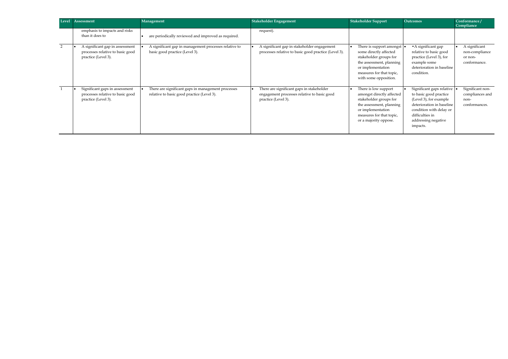|   | Level Assessment                                                                           | Management                                                                                       | <b>Stakeholder Engagement</b>                                                                                   | <b>Stakeholder Support</b>                                                                                                                                                         | <b>Outcomes</b>                                                                                                                                                                             | Conformance /<br>Compliance                                             |
|---|--------------------------------------------------------------------------------------------|--------------------------------------------------------------------------------------------------|-----------------------------------------------------------------------------------------------------------------|------------------------------------------------------------------------------------------------------------------------------------------------------------------------------------|---------------------------------------------------------------------------------------------------------------------------------------------------------------------------------------------|-------------------------------------------------------------------------|
|   | emphasis to impacts and risks<br>than it does to                                           | are periodically reviewed and improved as required.                                              | request).                                                                                                       |                                                                                                                                                                                    |                                                                                                                                                                                             |                                                                         |
| 2 | A significant gap in assessment<br>processes relative to basic good<br>practice (Level 3). | A significant gap in management processes relative to<br>basic good practice (Level 3).          | A significant gap in stakeholder engagement<br>processes relative to basic good practice (Level 3).             | There is support amongst<br>some directly affected<br>stakeholder groups for<br>the assessment, planning<br>or implementation<br>measures for that topic,<br>with some opposition. | • A significant gap<br>relative to basic good<br>practice (Level 3), for<br>example some<br>deterioration in baseline<br>condition.                                                         | A significant<br>$\bullet$<br>non-compliance<br>or non-<br>conformance. |
|   | Significant gaps in assessment<br>processes relative to basic good<br>practice (Level 3).  | There are significant gaps in management processes<br>relative to basic good practice (Level 3). | There are significant gaps in stakeholder<br>engagement processes relative to basic good<br>practice (Level 3). | There is low support<br>amongst directly affected<br>stakeholder groups for<br>the assessment, planning<br>or implementation<br>measures for that topic,<br>or a majority oppose.  | Significant gaps relative<br>to basic good practice<br>(Level 3), for example<br>deterioration in baseline<br>condition with delay or<br>difficulties in<br>addressing negative<br>impacts. | Significant non-<br>compliances and<br>non-<br>conformances.            |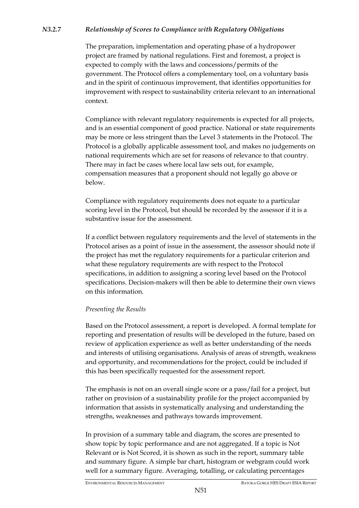## *N3.2.7 Relationship of Scores to Compliance with Regulatory Obligations*

The preparation, implementation and operating phase of a hydropower project are framed by national regulations. First and foremost, a project is expected to comply with the laws and concessions/permits of the government. The Protocol offers a complementary tool, on a voluntary basis and in the spirit of continuous improvement, that identifies opportunities for improvement with respect to sustainability criteria relevant to an international context.

Compliance with relevant regulatory requirements is expected for all projects, and is an essential component of good practice. National or state requirements may be more or less stringent than the Level 3 statements in the Protocol. The Protocol is a globally applicable assessment tool, and makes no judgements on national requirements which are set for reasons of relevance to that country. There may in fact be cases where local law sets out, for example, compensation measures that a proponent should not legally go above or below.

Compliance with regulatory requirements does not equate to a particular scoring level in the Protocol, but should be recorded by the assessor if it is a substantive issue for the assessment.

If a conflict between regulatory requirements and the level of statements in the Protocol arises as a point of issue in the assessment, the assessor should note if the project has met the regulatory requirements for a particular criterion and what these regulatory requirements are with respect to the Protocol specifications, in addition to assigning a scoring level based on the Protocol specifications. Decision-makers will then be able to determine their own views on this information.

## *Presenting the Results*

Based on the Protocol assessment, a report is developed. A formal template for reporting and presentation of results will be developed in the future, based on review of application experience as well as better understanding of the needs and interests of utilising organisations. Analysis of areas of strength, weakness and opportunity, and recommendations for the project, could be included if this has been specifically requested for the assessment report.

The emphasis is not on an overall single score or a pass/fail for a project, but rather on provision of a sustainability profile for the project accompanied by information that assists in systematically analysing and understanding the strengths, weaknesses and pathways towards improvement.

In provision of a summary table and diagram, the scores are presented to show topic by topic performance and are not aggregated. If a topic is Not Relevant or is Not Scored, it is shown as such in the report, summary table and summary figure. A simple bar chart, histogram or webgram could work well for a summary figure. Averaging, totalling, or calculating percentages